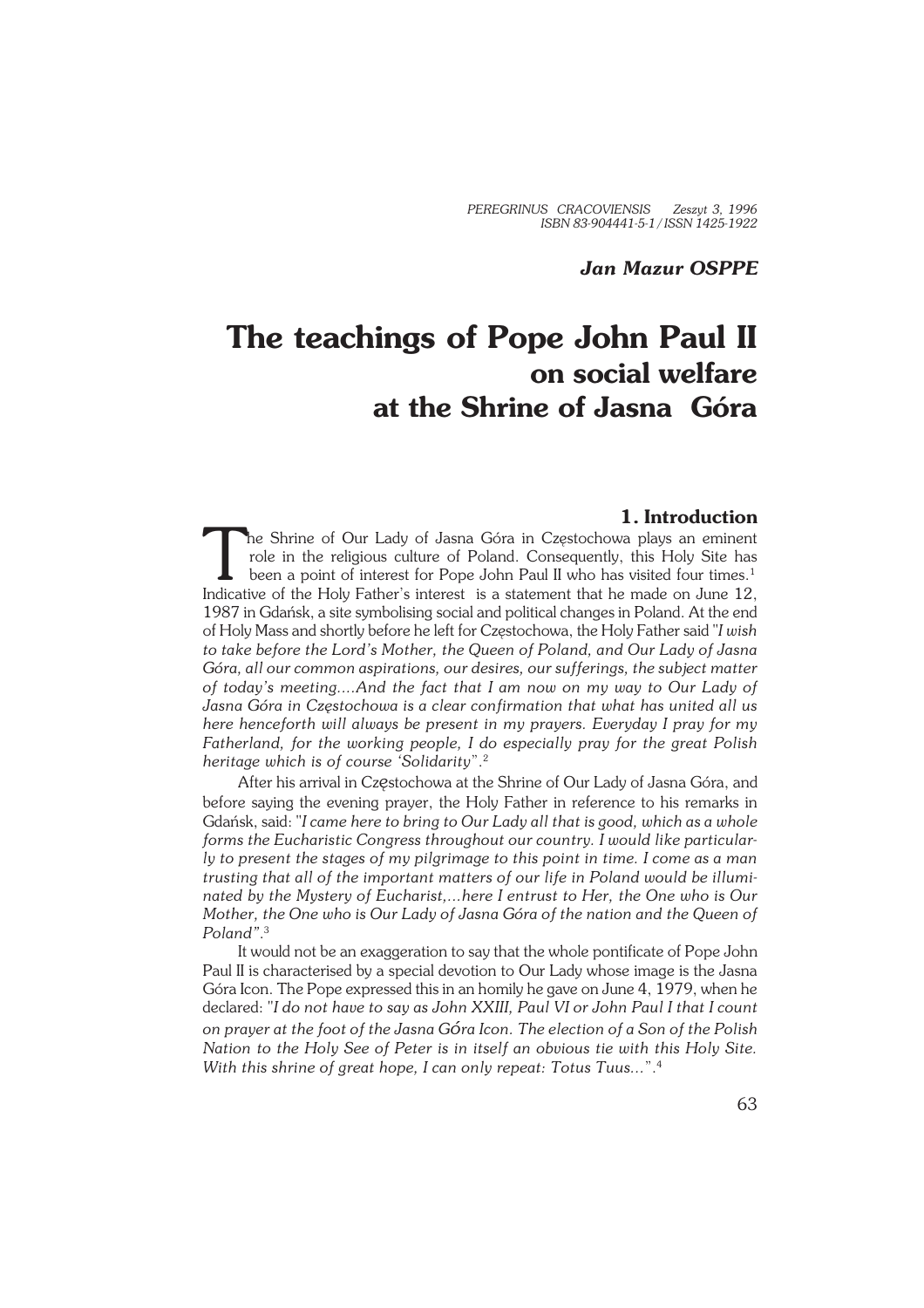# *Jan Mazur OSPPE*

# **The teachings of Pope John Paul II on social welfare at the Shrine of Jasna Góra**

## **1. Introduction**

The Shrine of Our Lady of Jasna Góra in Częstochowa plays an eminent role in the religious culture of Poland. Consequently, this Holy Site has been a point of interest for Pope John Paul II who has visited four times.<sup>1</sup> I he Shrine of Our Lady of Jasna Góra in Częstochowa plays an eminent role in the religious culture of Poland. Consequently, this Holy Site has been a point of interest for Pope John Paul II who has visited four times.<sup>1</sup> 1987 in Gdańsk, a site symbolising social and political changes in Poland. At the end of Holy Mass and shortly before he left for Częstochowa, the Holy Father said "*I wish to take before the Lord's Mother, the Queen of Poland, and Our Lady of Jasna Góra, all our common aspirations, our desires, our sufferings, the subject matter of today's meeting....And the fact that I am now on my way to Our Lady of Jasna Góra in Częstochowa is a clear confirmation that what has united all us here henceforth will always be present in my prayers. Everyday I pray for my Fatherland, for the working people, I do especially pray for the great Polish heritage which is of course 'Solidarity*".<sup>2</sup>

After his arrival in Częstochowa at the Shrine of Our Lady of Jasna Góra, and before saying the evening prayer, the Holy Father in reference to his remarks in Gdańsk, said: "*I came here to bring to Our Lady all that is good, which as a whole forms the Eucharistic Congress throughout our country. I would like particular− ly to present the stages of my pilgrimage to this point in time. I come as a man trusting that all of the important matters of our life in Poland would be illumi− nated by the Mystery of Eucharist,...here I entrust to Her, the One who is Our Mother, the One who is Our Lady of Jasna Góra of the nation and the Queen of Poland"*. 3

It would not be an exaggeration to say that the whole pontificate of Pope John Paul II is characterised by a special devotion to Our Lady whose image is the Jasna Góra Icon. The Pope expressed this in an homily he gave on June 4, 1979, when he declared: "*I do not have to say as John XXIII, Paul VI or John Paul I that I count on prayer at the foot of the Jasna Góra Icon. The election of a Son of the Polish Nation to the Holy See of Peter is in itself an obvious tie with this Holy Site. With this shrine of great hope, I can only repeat: Totus Tuus...*".<sup>4</sup>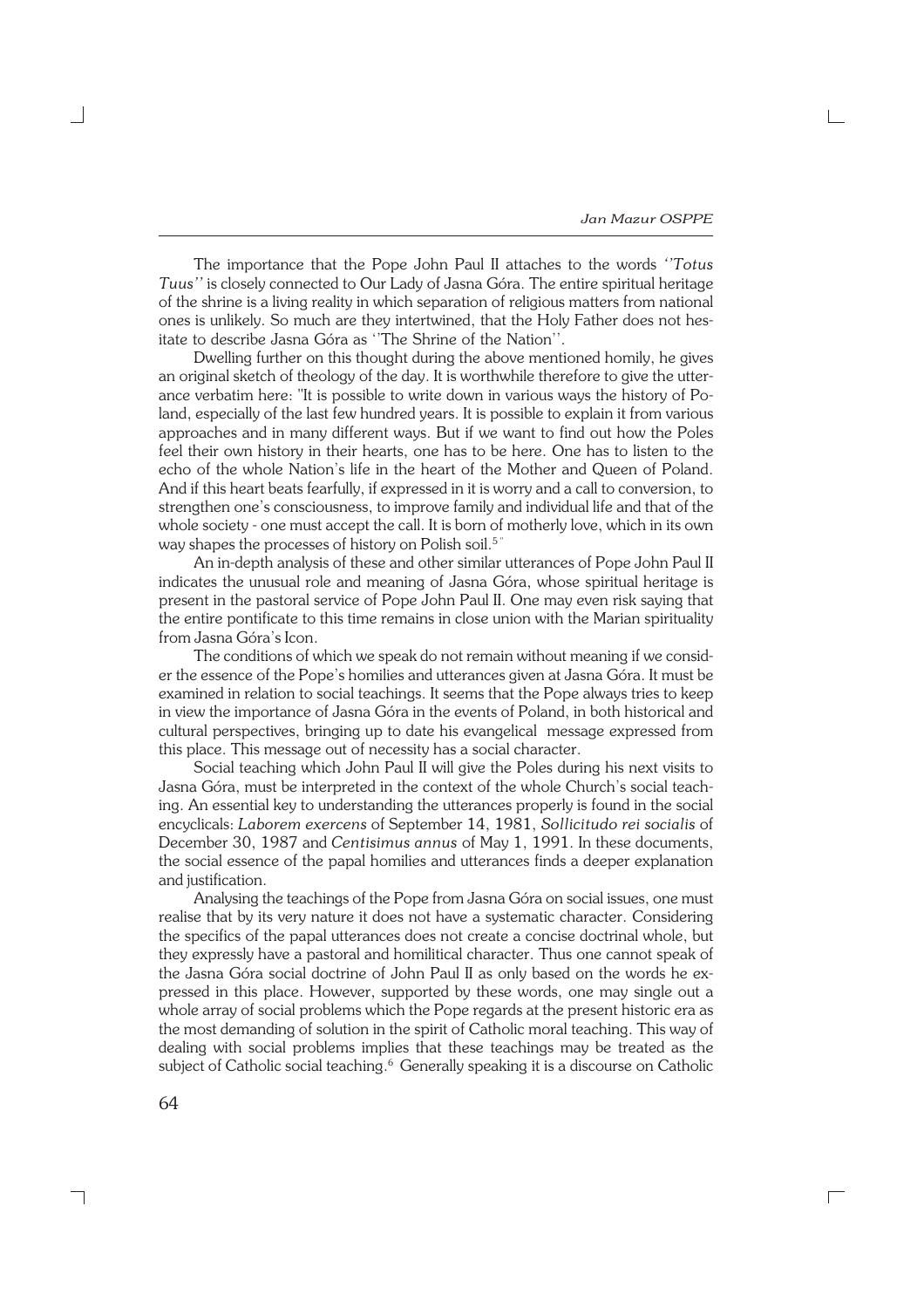The importance that the Pope John Paul II attaches to the words *''Totus Tuus''* is closely connected to Our Lady of Jasna Góra. The entire spiritual heritage of the shrine is a living reality in which separation of religious matters from national ones is unlikely. So much are they intertwined, that the Holy Father does not hes− itate to describe Jasna Góra as ''The Shrine of the Nation''.

Dwelling further on this thought during the above mentioned homily, he gives an original sketch of theology of the day. It is worthwhile therefore to give the utter− ance verbatim here: "It is possible to write down in various ways the history of Po− land, especially of the last few hundred years. It is possible to explain it from various approaches and in many different ways. But if we want to find out how the Poles feel their own history in their hearts, one has to be here. One has to listen to the echo of the whole Nation's life in the heart of the Mother and Queen of Poland. And if this heart beats fearfully, if expressed in it is worry and a call to conversion, to strengthen one's consciousness, to improve family and individual life and that of the whole society − one must accept the call. It is born of motherly love, which in its own way shapes the processes of history on Polish soil.<sup>5"</sup>

An in−depth analysis of these and other similar utterances of Pope John Paul II indicates the unusual role and meaning of Jasna Góra, whose spiritual heritage is present in the pastoral service of Pope John Paul II. One may even risk saying that the entire pontificate to this time remains in close union with the Marian spirituality from Jasna Góra's Icon.

The conditions of which we speak do not remain without meaning if we consid− er the essence of the Pope's homilies and utterances given at Jasna Góra. It must be examined in relation to social teachings. It seems that the Pope always tries to keep in view the importance of Jasna Góra in the events of Poland, in both historical and cultural perspectives, bringing up to date his evangelical message expressed from this place. This message out of necessity has a social character.

Social teaching which John Paul II will give the Poles during his next visits to Jasna Góra, must be interpreted in the context of the whole Church's social teach− ing. An essential key to understanding the utterances properly is found in the social encyclicals: *Laborem exercens* of September 14, 1981, *Sollicitudo rei socialis* of December 30, 1987 and *Centisimus annus* of May 1, 1991. In these documents, the social essence of the papal homilies and utterances finds a deeper explanation and justification.

Analysing the teachings of the Pope from Jasna Góra on social issues, one must realise that by its very nature it does not have a systematic character. Considering the specifics of the papal utterances does not create a concise doctrinal whole, but they expressly have a pastoral and homilitical character. Thus one cannot speak of the Jasna Góra social doctrine of John Paul II as only based on the words he ex− pressed in this place. However, supported by these words, one may single out a whole array of social problems which the Pope regards at the present historic era as the most demanding of solution in the spirit of Catholic moral teaching. This way of dealing with social problems implies that these teachings may be treated as the subject of Catholic social teaching.<sup>6</sup> Generally speaking it is a discourse on Catholic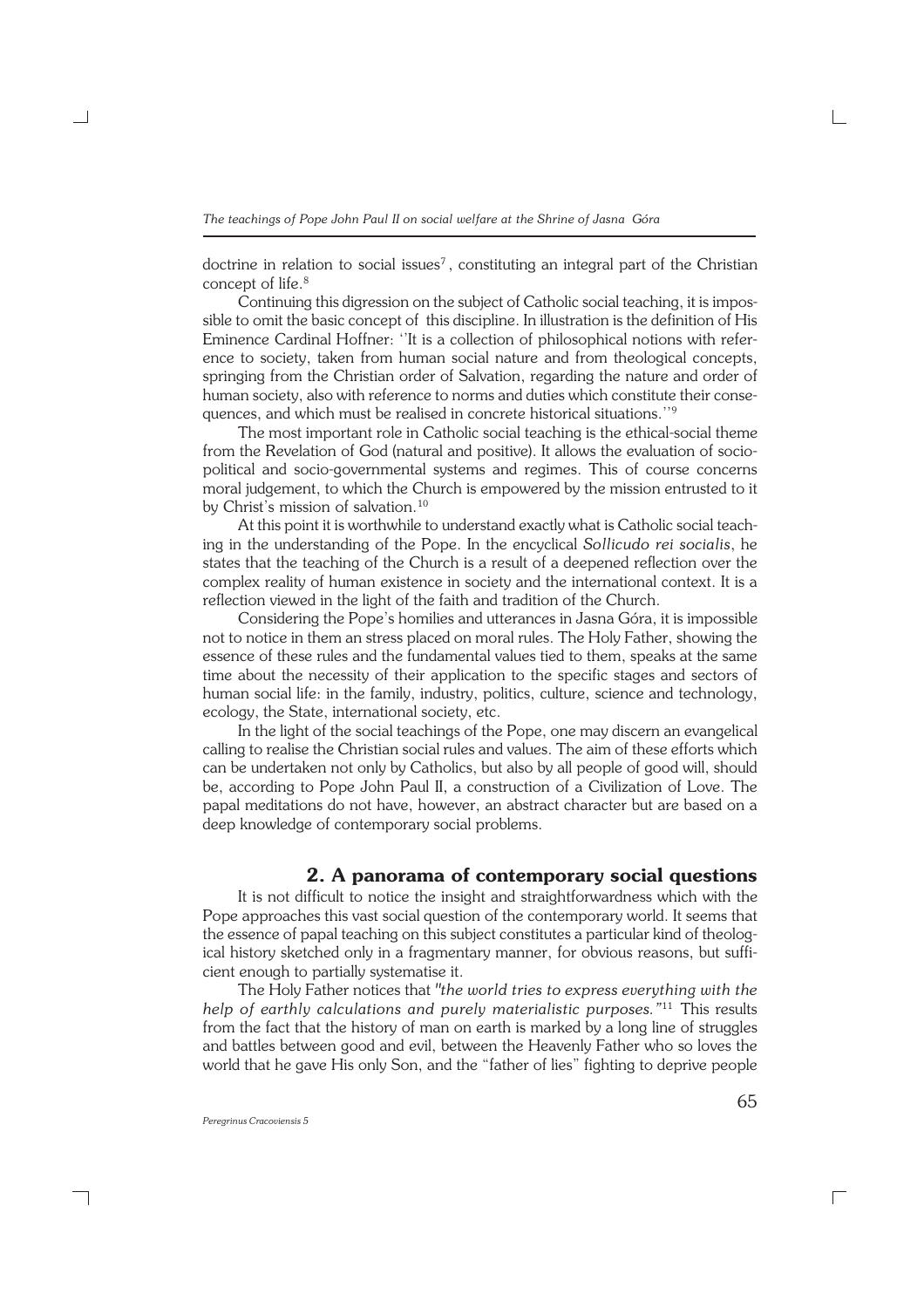doctrine in relation to social issues<sup>7</sup>, constituting an integral part of the Christian concept of life.<sup>8</sup>

Continuing this digression on the subject of Catholic social teaching, it is impos− sible to omit the basic concept of this discipline. In illustration is the definition of His Eminence Cardinal Hoffner: ''It is a collection of philosophical notions with refer− ence to society, taken from human social nature and from theological concepts, springing from the Christian order of Salvation, regarding the nature and order of human society, also with reference to norms and duties which constitute their consequences, and which must be realised in concrete historical situations.''<sup>9</sup>

The most important role in Catholic social teaching is the ethical−social theme from the Revelation of God (natural and positive). It allows the evaluation of sociopolitical and socio−governmental systems and regimes. This of course concerns moral judgement, to which the Church is empowered by the mission entrusted to it by Christ's mission of salvation.<sup>10</sup>

At this point it is worthwhile to understand exactly what is Catholic social teach− ing in the understanding of the Pope. In the encyclical *Sollicudo rei socialis*, he states that the teaching of the Church is a result of a deepened reflection over the complex reality of human existence in society and the international context. It is a reflection viewed in the light of the faith and tradition of the Church.

Considering the Pope's homilies and utterances in Jasna Góra, it is impossible not to notice in them an stress placed on moral rules. The Holy Father, showing the essence of these rules and the fundamental values tied to them, speaks at the same time about the necessity of their application to the specific stages and sectors of human social life: in the family, industry, politics, culture, science and technology, ecology, the State, international society, etc.

In the light of the social teachings of the Pope, one may discern an evangelical calling to realise the Christian social rules and values. The aim of these efforts which can be undertaken not only by Catholics, but also by all people of good will, should be, according to Pope John Paul II, a construction of a Civilization of Love. The papal meditations do not have, however, an abstract character but are based on a deep knowledge of contemporary social problems.

#### **2. A panorama of contemporary social questions**

It is not difficult to notice the insight and straightforwardness which with the Pope approaches this vast social question of the contemporary world. It seems that the essence of papal teaching on this subject constitutes a particular kind of theolog− ical history sketched only in a fragmentary manner, for obvious reasons, but suffi− cient enough to partially systematise it.

The Holy Father notices that *"the world tries to express everything with the help of earthly calculations and purely materialistic purposes."*<sup>11</sup> This results from the fact that the history of man on earth is marked by a long line of struggles and battles between good and evil, between the Heavenly Father who so loves the world that he gave His only Son, and the "father of lies" fighting to deprive people

┐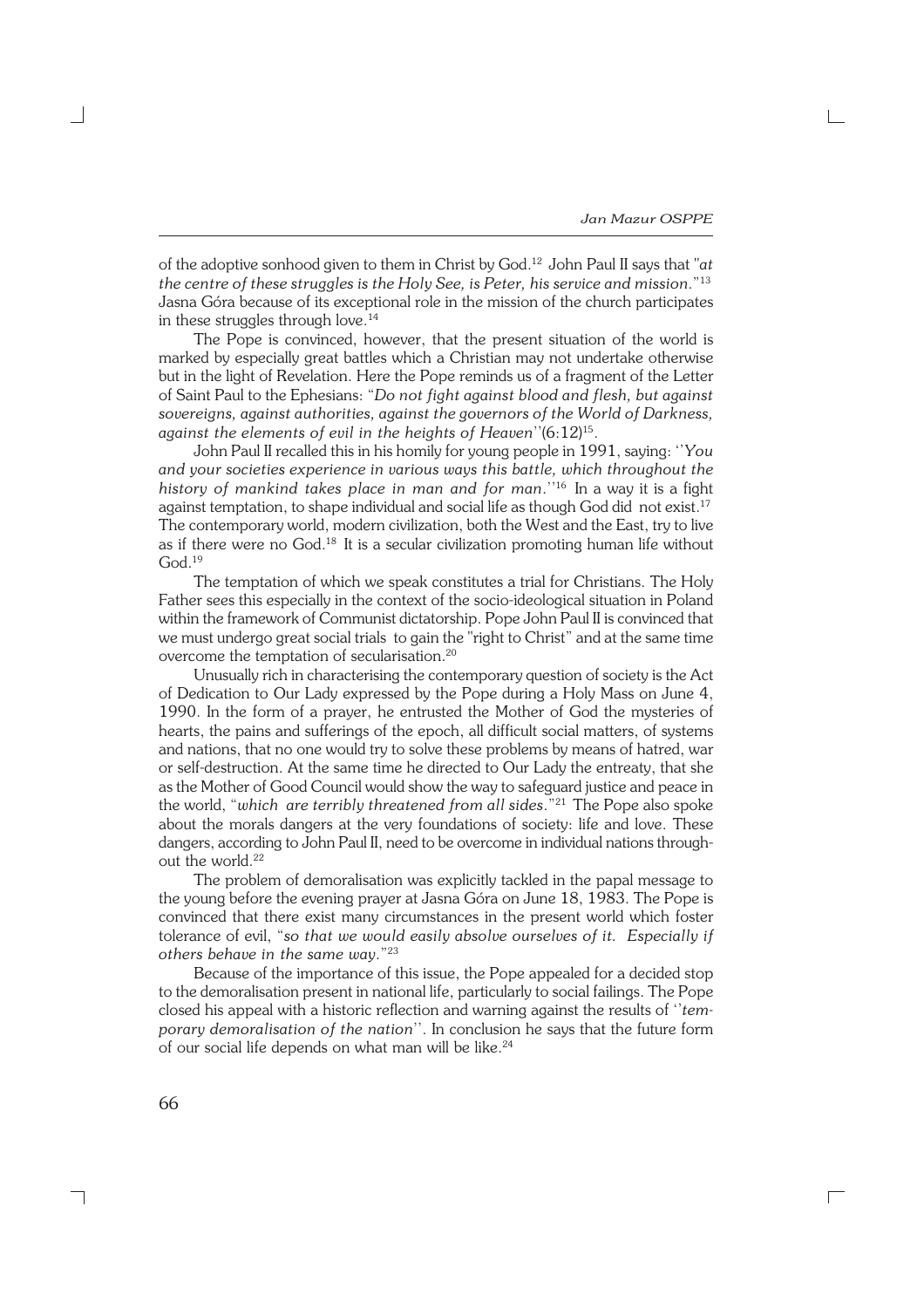of the adoptive sonhood given to them in Christ by God.<sup>12</sup> John Paul II says that "*at the centre of these struggles is the Holy See, is Peter, his service and mission*."<sup>13</sup> Jasna Góra because of its exceptional role in the mission of the church participates in these struggles through love.<sup>14</sup>

The Pope is convinced, however, that the present situation of the world is marked by especially great battles which a Christian may not undertake otherwise but in the light of Revelation. Here the Pope reminds us of a fragment of the Letter of Saint Paul to the Ephesians: "*Do not fight against blood and flesh, but against sovereigns, against authorities, against the governors of the World of Darkness, against the elements of evil in the heights of Heaven*''(6:12)<sup>15</sup> .

John Paul II recalled this in his homily for young people in 1991, saying: ''*You and your societies experience in various ways this battle, which throughout the history of mankind takes place in man and for man*.''<sup>16</sup> In a way it is a fight against temptation, to shape individual and social life as though God did not exist.<sup>17</sup> The contemporary world, modern civilization, both the West and the East, try to live as if there were no God.<sup>18</sup> It is a secular civilization promoting human life without God.<sup>19</sup>

The temptation of which we speak constitutes a trial for Christians. The Holy Father sees this especially in the context of the socio−ideological situation in Poland within the framework of Communist dictatorship. Pope John Paul II is convinced that we must undergo great social trials to gain the "right to Christ" and at the same time overcome the temptation of secularisation.<sup>20</sup>

Unusually rich in characterising the contemporary question of society is the Act of Dedication to Our Lady expressed by the Pope during a Holy Mass on June 4, 1990. In the form of a prayer, he entrusted the Mother of God the mysteries of hearts, the pains and sufferings of the epoch, all difficult social matters, of systems and nations, that no one would try to solve these problems by means of hatred, war or self−destruction. At the same time he directed to Our Lady the entreaty, that she as the Mother of Good Council would show the way to safeguard justice and peace in the world, "*which are terribly threatened from all sides*."<sup>21</sup> The Pope also spoke about the morals dangers at the very foundations of society: life and love. These dangers, according to John Paul II, need to be overcome in individual nations through− out the world.<sup>22</sup>

The problem of demoralisation was explicitly tackled in the papal message to the young before the evening prayer at Jasna Góra on June 18, 1983. The Pope is convinced that there exist many circumstances in the present world which foster tolerance of evil, "*so that we would easily absolve ourselves of it. Especially if others behave in the same way*."<sup>23</sup>

Because of the importance of this issue, the Pope appealed for a decided stop to the demoralisation present in national life, particularly to social failings. The Pope closed his appeal with a historic reflection and warning against the results of ''*tem− porary demoralisation of the nation*''. In conclusion he says that the future form of our social life depends on what man will be like.24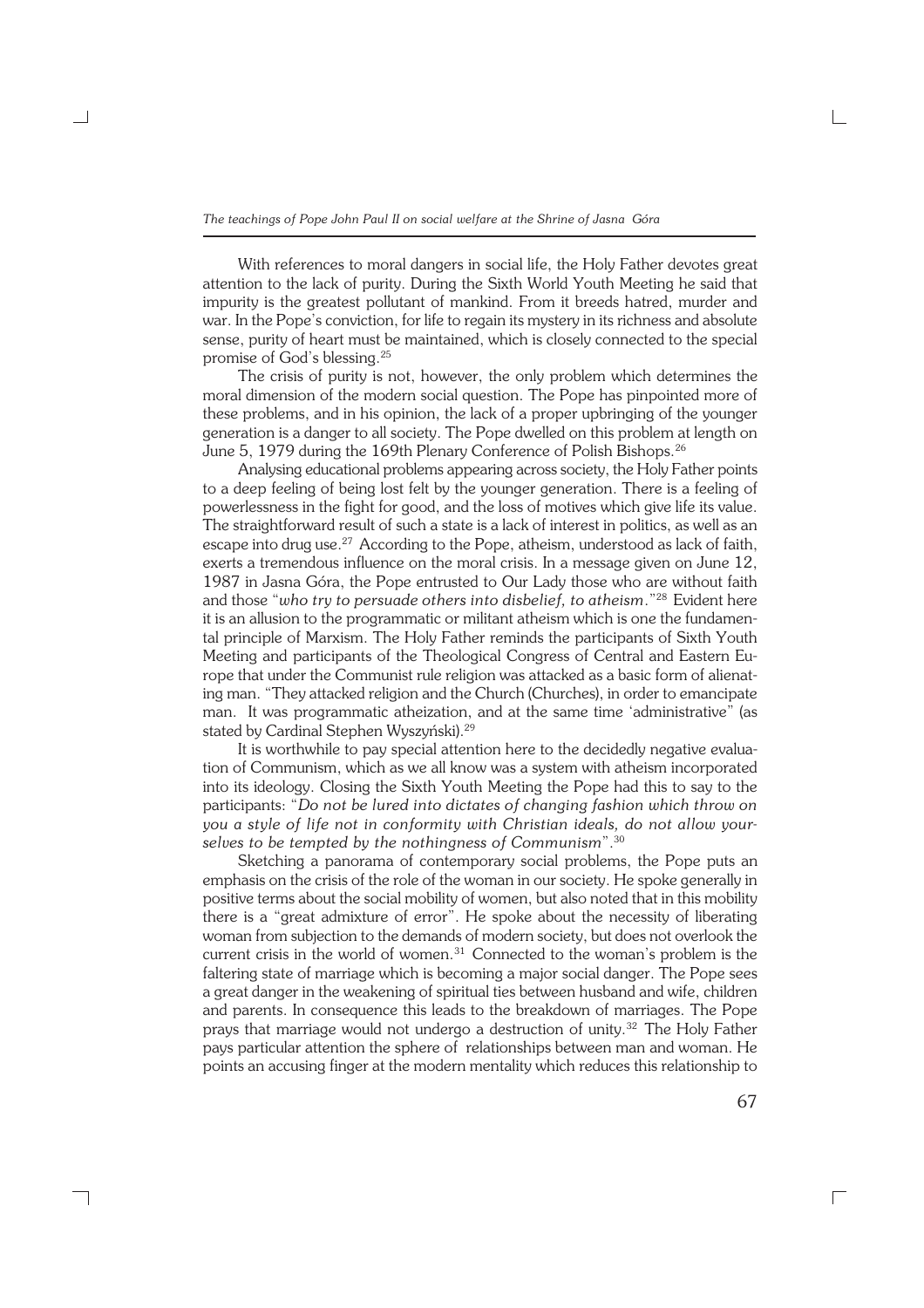With references to moral dangers in social life, the Holy Father devotes great attention to the lack of purity. During the Sixth World Youth Meeting he said that impurity is the greatest pollutant of mankind. From it breeds hatred, murder and war. In the Pope's conviction, for life to regain its mystery in its richness and absolute sense, purity of heart must be maintained, which is closely connected to the special promise of God's blessing.<sup>25</sup>

The crisis of purity is not, however, the only problem which determines the moral dimension of the modern social question. The Pope has pinpointed more of these problems, and in his opinion, the lack of a proper upbringing of the younger generation is a danger to all society. The Pope dwelled on this problem at length on June 5, 1979 during the 169th Plenary Conference of Polish Bishops.<sup>26</sup>

Analysing educational problems appearing across society, the Holy Father points to a deep feeling of being lost felt by the younger generation. There is a feeling of powerlessness in the fight for good, and the loss of motives which give life its value. The straightforward result of such a state is a lack of interest in politics, as well as an escape into drug use.<sup>27</sup> According to the Pope, atheism, understood as lack of faith, exerts a tremendous influence on the moral crisis. In a message given on June 12, 1987 in Jasna Góra, the Pope entrusted to Our Lady those who are without faith and those "*who try to persuade others into disbelief, to atheism*."<sup>28</sup> Evident here it is an allusion to the programmatic or militant atheism which is one the fundamen− tal principle of Marxism. The Holy Father reminds the participants of Sixth Youth Meeting and participants of the Theological Congress of Central and Eastern Eu− rope that under the Communist rule religion was attacked as a basic form of alienat− ing man. "They attacked religion and the Church (Churches), in order to emancipate man. It was programmatic atheization, and at the same time 'administrative" (as stated by Cardinal Stephen Wyszyński).<sup>29</sup>

It is worthwhile to pay special attention here to the decidedly negative evalua− tion of Communism, which as we all know was a system with atheism incorporated into its ideology. Closing the Sixth Youth Meeting the Pope had this to say to the participants: "*Do not be lured into dictates of changing fashion which throw on you a style of life not in conformity with Christian ideals, do not allow your− selves to be tempted by the nothingness of Communism*".<sup>30</sup>

Sketching a panorama of contemporary social problems, the Pope puts an emphasis on the crisis of the role of the woman in our society. He spoke generally in positive terms about the social mobility of women, but also noted that in this mobility there is a "great admixture of error". He spoke about the necessity of liberating woman from subjection to the demands of modern society, but does not overlook the current crisis in the world of women.<sup>31</sup> Connected to the woman's problem is the faltering state of marriage which is becoming a major social danger. The Pope sees a great danger in the weakening of spiritual ties between husband and wife, children and parents. In consequence this leads to the breakdown of marriages. The Pope prays that marriage would not undergo a destruction of unity.<sup>32</sup> The Holy Father pays particular attention the sphere of relationships between man and woman. He points an accusing finger at the modern mentality which reduces this relationship to

┐

67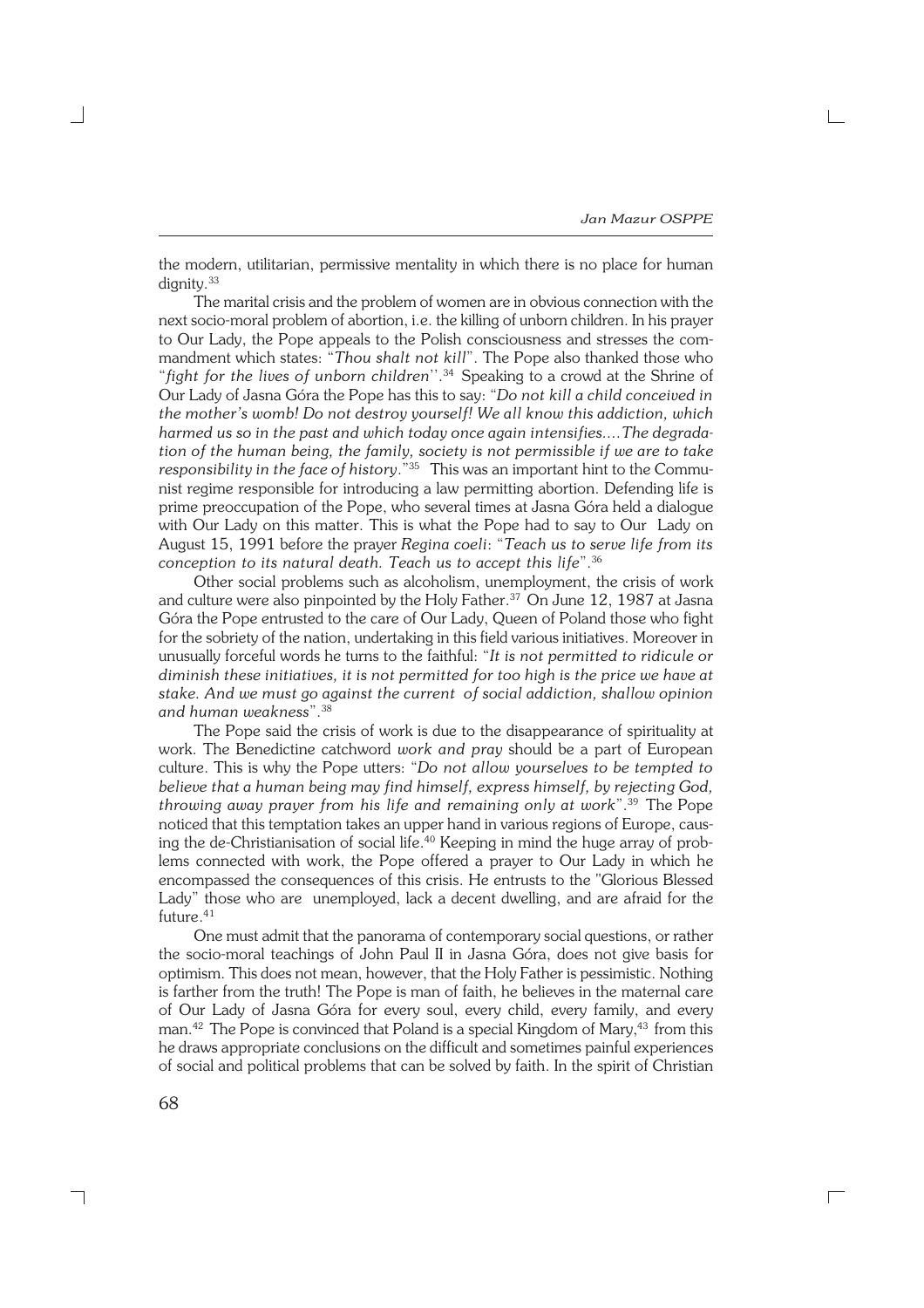the modern, utilitarian, permissive mentality in which there is no place for human dignity.<sup>33</sup>

The marital crisis and the problem of women are in obvious connection with the next socio−moral problem of abortion, i.e. the killing of unborn children. In his prayer to Our Lady, the Pope appeals to the Polish consciousness and stresses the com− mandment which states: "*Thou shalt not kill*". The Pope also thanked those who "*fight for the lives of unborn children*''.<sup>34</sup> Speaking to a crowd at the Shrine of Our Lady of Jasna Góra the Pope has this to say: "*Do not kill a child conceived in the mother's womb! Do not destroy yourself! We all know this addiction, which harmed us so in the past and which today once again intensifies....The degrada− tion of the human being, the family, society is not permissible if we are to take responsibility in the face of history.*<sup>"35</sup> This was an important hint to the Commu− nist regime responsible for introducing a law permitting abortion. Defending life is prime preoccupation of the Pope, who several times at Jasna Góra held a dialogue with Our Lady on this matter. This is what the Pope had to say to Our Lady on August 15, 1991 before the prayer *Regina coeli*: "*Teach us to serve life from its conception to its natural death. Teach us to accept this life*".<sup>36</sup>

Other social problems such as alcoholism, unemployment, the crisis of work and culture were also pinpointed by the Holy Father.<sup>37</sup> On June 12, 1987 at Jasna Góra the Pope entrusted to the care of Our Lady, Queen of Poland those who fight for the sobriety of the nation, undertaking in this field various initiatives. Moreover in unusually forceful words he turns to the faithful: "*It is not permitted to ridicule or diminish these initiatives, it is not permitted for too high is the price we have at stake. And we must go against the current of social addiction, shallow opinion and human weakness*".<sup>38</sup>

The Pope said the crisis of work is due to the disappearance of spirituality at work. The Benedictine catchword *work and pray* should be a part of European culture. This is why the Pope utters: "*Do not allow yourselves to be tempted to believe that a human being may find himself, express himself, by rejecting God, throwing away prayer from his life and remaining only at work*".<sup>39</sup> The Pope noticed that this temptation takes an upper hand in various regions of Europe, caus− ing the de−Christianisation of social life.<sup>40</sup> Keeping in mind the huge array of prob− lems connected with work, the Pope offered a prayer to Our Lady in which he encompassed the consequences of this crisis. He entrusts to the "Glorious Blessed Lady" those who are unemployed, lack a decent dwelling, and are afraid for the future.<sup>41</sup>

One must admit that the panorama of contemporary social questions, or rather the socio−moral teachings of John Paul II in Jasna Góra, does not give basis for optimism. This does not mean, however, that the Holy Father is pessimistic. Nothing is farther from the truth! The Pope is man of faith, he believes in the maternal care of Our Lady of Jasna Góra for every soul, every child, every family, and every man.<sup>42</sup> The Pope is convinced that Poland is a special Kingdom of Mary,<sup>43</sup> from this he draws appropriate conclusions on the difficult and sometimes painful experiences of social and political problems that can be solved by faith. In the spirit of Christian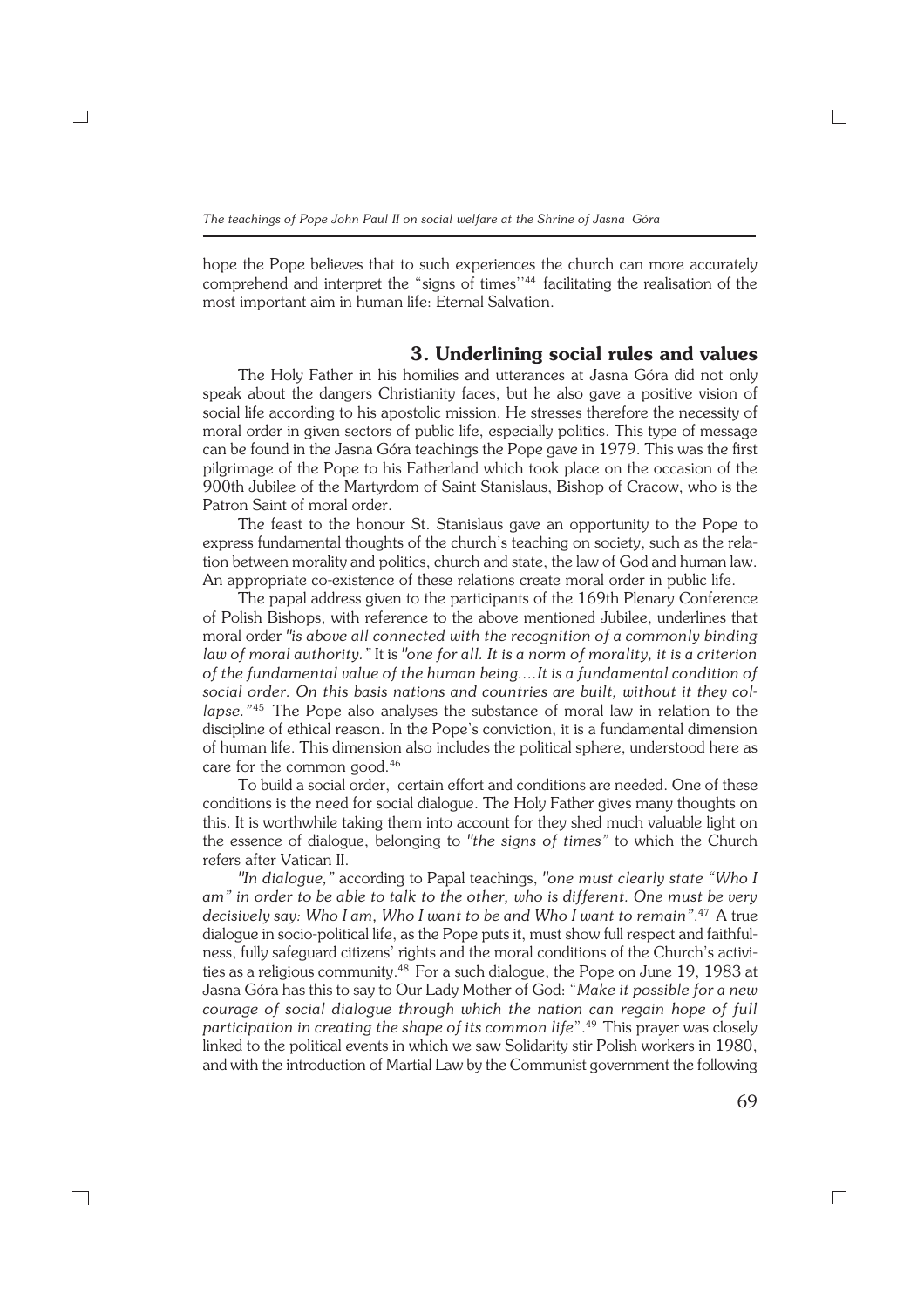hope the Pope believes that to such experiences the church can more accurately comprehend and interpret the "signs of times''<sup>44</sup> facilitating the realisation of the most important aim in human life: Eternal Salvation.

#### **3. Underlining social rules and values**

The Holy Father in his homilies and utterances at Jasna Góra did not only speak about the dangers Christianity faces, but he also gave a positive vision of social life according to his apostolic mission. He stresses therefore the necessity of moral order in given sectors of public life, especially politics. This type of message can be found in the Jasna Góra teachings the Pope gave in 1979. This was the first pilgrimage of the Pope to his Fatherland which took place on the occasion of the 900th Jubilee of the Martyrdom of Saint Stanislaus, Bishop of Cracow, who is the Patron Saint of moral order.

The feast to the honour St. Stanislaus gave an opportunity to the Pope to express fundamental thoughts of the church's teaching on society, such as the rela− tion between morality and politics, church and state, the law of God and human law. An appropriate co−existence of these relations create moral order in public life.

The papal address given to the participants of the 169th Plenary Conference of Polish Bishops, with reference to the above mentioned Jubilee, underlines that moral order *"is above all connected with the recognition of a commonly binding law of moral authority."* It is *"one for all. It is a norm of morality, it is a criterion of the fundamental value of the human being....It is a fundamental condition of social order. On this basis nations and countries are built, without it they col− lapse."*<sup>45</sup> The Pope also analyses the substance of moral law in relation to the discipline of ethical reason. In the Pope's conviction, it is a fundamental dimension of human life. This dimension also includes the political sphere, understood here as care for the common good.<sup>46</sup>

To build a social order, certain effort and conditions are needed. One of these conditions is the need for social dialogue. The Holy Father gives many thoughts on this. It is worthwhile taking them into account for they shed much valuable light on the essence of dialogue, belonging to *"the signs of times"* to which the Church refers after Vatican II.

*"In dialogue,"* according to Papal teachings, *"one must clearly state "Who I am" in order to be able to talk to the other, who is different. One must be very decisively say: Who I am, Who I want to be and Who I want to remain"*. <sup>47</sup> A true dialogue in socio−political life, as the Pope puts it, must show full respect and faithful− ness, fully safeguard citizens' rights and the moral conditions of the Church's activi− ties as a religious community.<sup>48</sup> For a such dialogue, the Pope on June 19, 1983 at Jasna Góra has this to say to Our Lady Mother of God: "*Make it possible for a new courage of social dialogue through which the nation can regain hope of full participation in creating the shape of its common life*".<sup>49</sup> This prayer was closely linked to the political events in which we saw Solidarity stir Polish workers in 1980, and with the introduction of Martial Law by the Communist government the following

┐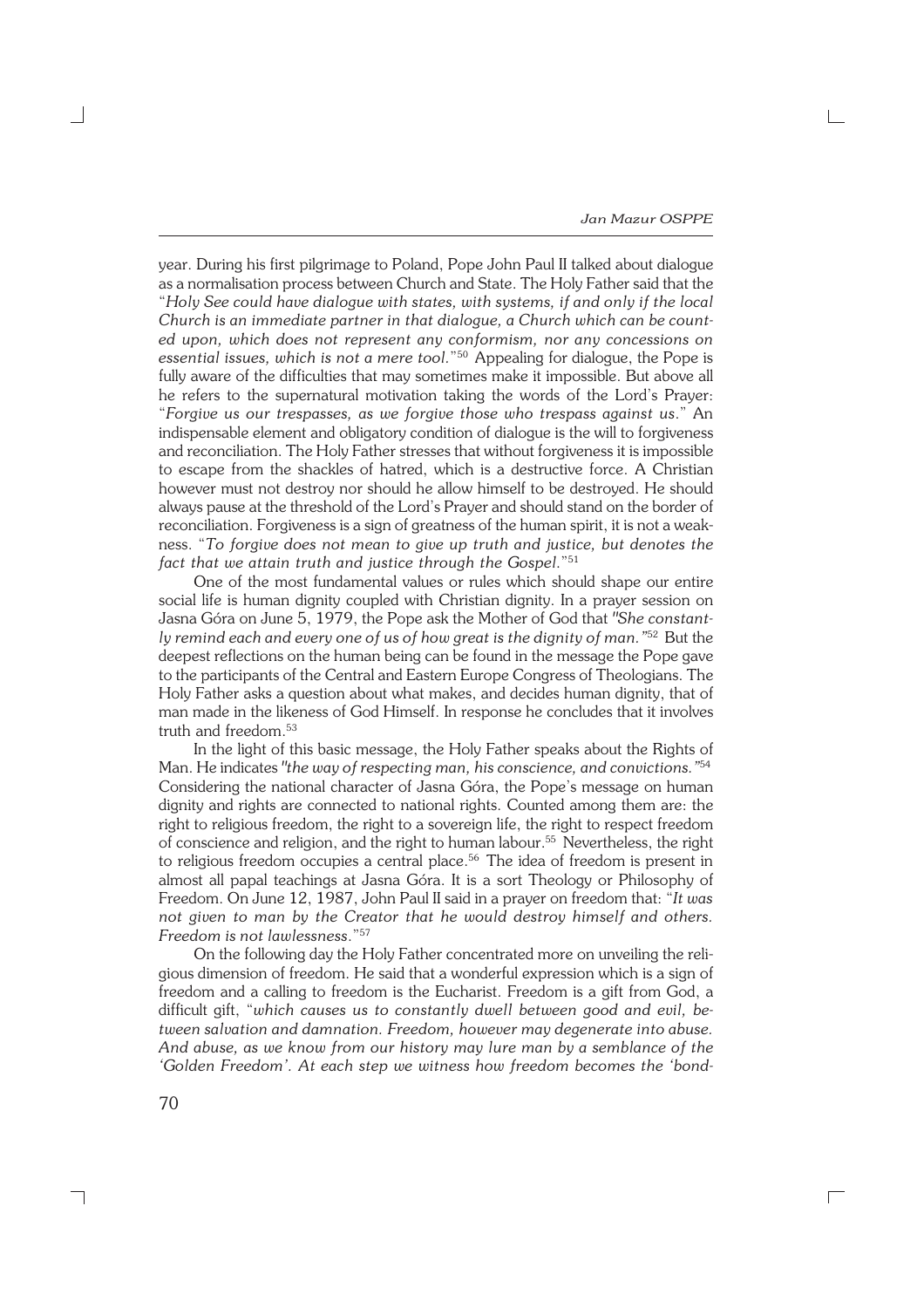year. During his first pilgrimage to Poland, Pope John Paul II talked about dialogue as a normalisation process between Church and State. The Holy Father said that the "*Holy See could have dialogue with states, with systems, if and only if the local Church is an immediate partner in that dialogue, a Church which can be count− ed upon, which does not represent any conformism, nor any concessions on essential issues, which is not a mere tool.*" <sup>50</sup> Appealing for dialogue, the Pope is fully aware of the difficulties that may sometimes make it impossible. But above all he refers to the supernatural motivation taking the words of the Lord's Prayer: "*Forgive us our trespasses, as we forgive those who trespass against us*." An indispensable element and obligatory condition of dialogue is the will to forgiveness and reconciliation. The Holy Father stresses that without forgiveness it is impossible to escape from the shackles of hatred, which is a destructive force. A Christian however must not destroy nor should he allow himself to be destroyed. He should always pause at the threshold of the Lord's Prayer and should stand on the border of reconciliation. Forgiveness is a sign of greatness of the human spirit, it is not a weak− ness. "*To forgive does not mean to give up truth and justice, but denotes the fact that we attain truth and justice through the Gospel*."<sup>51</sup>

One of the most fundamental values or rules which should shape our entire social life is human dignity coupled with Christian dignity. In a prayer session on Jasna Góra on June 5, 1979, the Pope ask the Mother of God that *"She constant− ly remind each and every one of us of how great is the dignity of man."*<sup>52</sup> But the deepest reflections on the human being can be found in the message the Pope gave to the participants of the Central and Eastern Europe Congress of Theologians. The Holy Father asks a question about what makes, and decides human dignity, that of man made in the likeness of God Himself. In response he concludes that it involves truth and freedom.<sup>53</sup>

In the light of this basic message, the Holy Father speaks about the Rights of Man. He indicates *"the way of respecting man, his conscience, and convictions."*<sup>54</sup> Considering the national character of Jasna Góra, the Pope's message on human dignity and rights are connected to national rights. Counted among them are: the right to religious freedom, the right to a sovereign life, the right to respect freedom of conscience and religion, and the right to human labour.<sup>55</sup> Nevertheless, the right to religious freedom occupies a central place.<sup>56</sup> The idea of freedom is present in almost all papal teachings at Jasna Góra. It is a sort Theology or Philosophy of Freedom. On June 12, 1987, John Paul II said in a prayer on freedom that: "*It was not given to man by the Creator that he would destroy himself and others. Freedom is not lawlessness*."<sup>57</sup>

On the following day the Holy Father concentrated more on unveiling the reli− gious dimension of freedom. He said that a wonderful expression which is a sign of freedom and a calling to freedom is the Eucharist. Freedom is a gift from God, a difficult gift, "*which causes us to constantly dwell between good and evil, be− tween salvation and damnation. Freedom, however may degenerate into abuse. And abuse, as we know from our history may lure man by a semblance of the 'Golden Freedom'. At each step we witness how freedom becomes the 'bond−*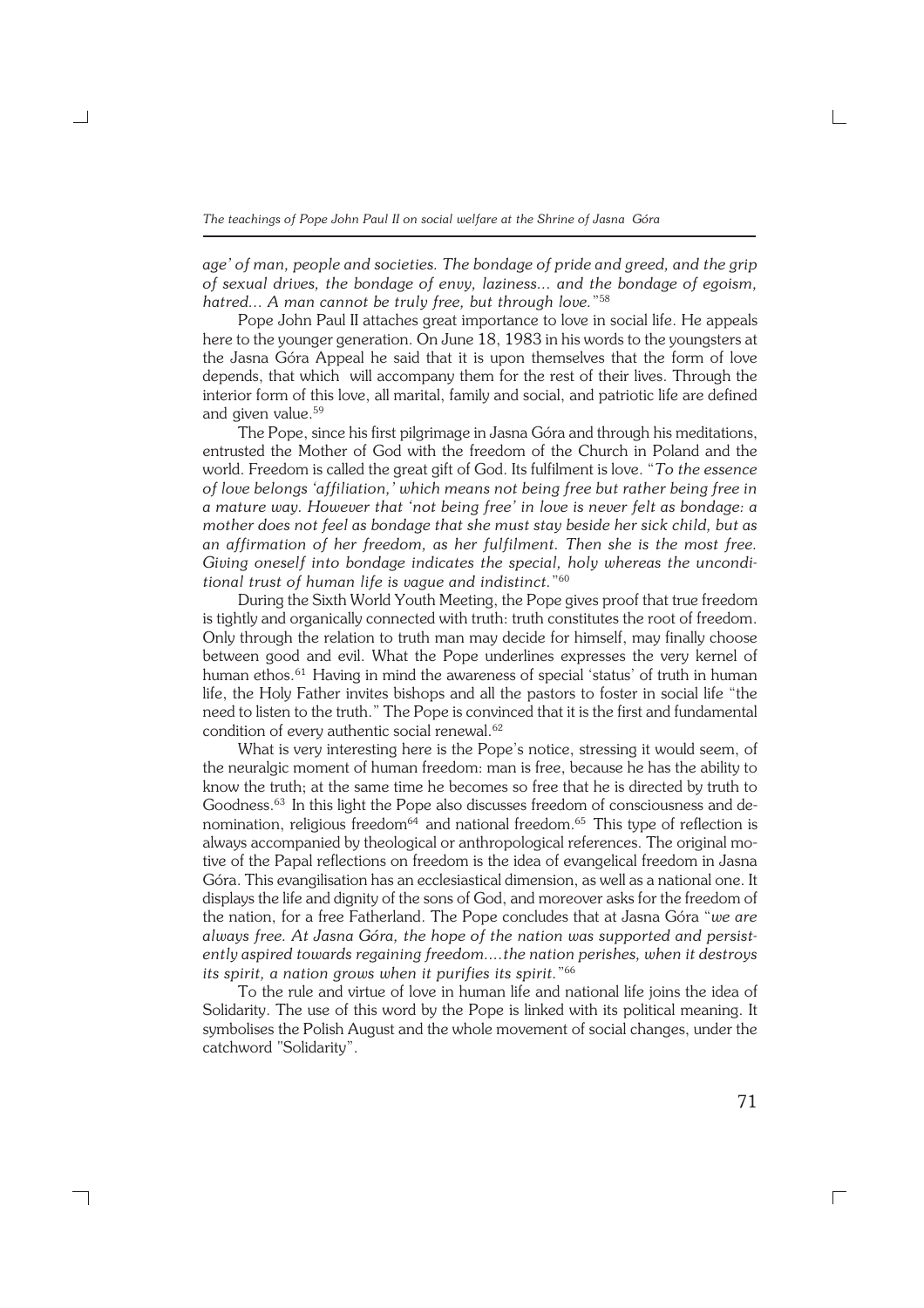*age' of man, people and societies. The bondage of pride and greed, and the grip of sexual drives, the bondage of envy, laziness... and the bondage of egoism, hatred... A man cannot be truly free, but through love.*" 58

Pope John Paul II attaches great importance to love in social life. He appeals here to the younger generation. On June 18, 1983 in his words to the youngsters at the Jasna Góra Appeal he said that it is upon themselves that the form of love depends, that which will accompany them for the rest of their lives. Through the interior form of this love, all marital, family and social, and patriotic life are defined and given value.<sup>59</sup>

The Pope, since his first pilgrimage in Jasna Góra and through his meditations, entrusted the Mother of God with the freedom of the Church in Poland and the world. Freedom is called the great gift of God. Its fulfilment is love. "*To the essence of love belongs 'affiliation,' which means not being free but rather being free in a mature way. However that 'not being free' in love is never felt as bondage: a mother does not feel as bondage that she must stay beside her sick child, but as an affirmation of her freedom, as her fulfilment. Then she is the most free. Giving oneself into bondage indicates the special, holy whereas the uncondi− tional trust of human life is vague and indistinct.*" 60

During the Sixth World Youth Meeting, the Pope gives proof that true freedom is tightly and organically connected with truth: truth constitutes the root of freedom. Only through the relation to truth man may decide for himself, may finally choose between good and evil. What the Pope underlines expresses the very kernel of human ethos.<sup>61</sup> Having in mind the awareness of special 'status' of truth in human life, the Holy Father invites bishops and all the pastors to foster in social life "the need to listen to the truth." The Pope is convinced that it is the first and fundamental condition of every authentic social renewal.<sup>62</sup>

What is very interesting here is the Pope's notice, stressing it would seem, of the neuralgic moment of human freedom: man is free, because he has the ability to know the truth; at the same time he becomes so free that he is directed by truth to Goodness.<sup>63</sup> In this light the Pope also discusses freedom of consciousness and de− nomination, religious freedom<sup>64</sup> and national freedom.<sup>65</sup> This type of reflection is always accompanied by theological or anthropological references. The original mo− tive of the Papal reflections on freedom is the idea of evangelical freedom in Jasna Góra. This evangilisation has an ecclesiastical dimension, as well as a national one. It displays the life and dignity of the sons of God, and moreover asks for the freedom of the nation, for a free Fatherland. The Pope concludes that at Jasna Góra "*we are always free. At Jasna Góra, the hope of the nation was supported and persist− ently aspired towards regaining freedom....the nation perishes, when it destroys its spirit, a nation grows when it purifies its spirit.*" 66

To the rule and virtue of love in human life and national life joins the idea of Solidarity. The use of this word by the Pope is linked with its political meaning. It symbolises the Polish August and the whole movement of social changes, under the catchword "Solidarity".

┐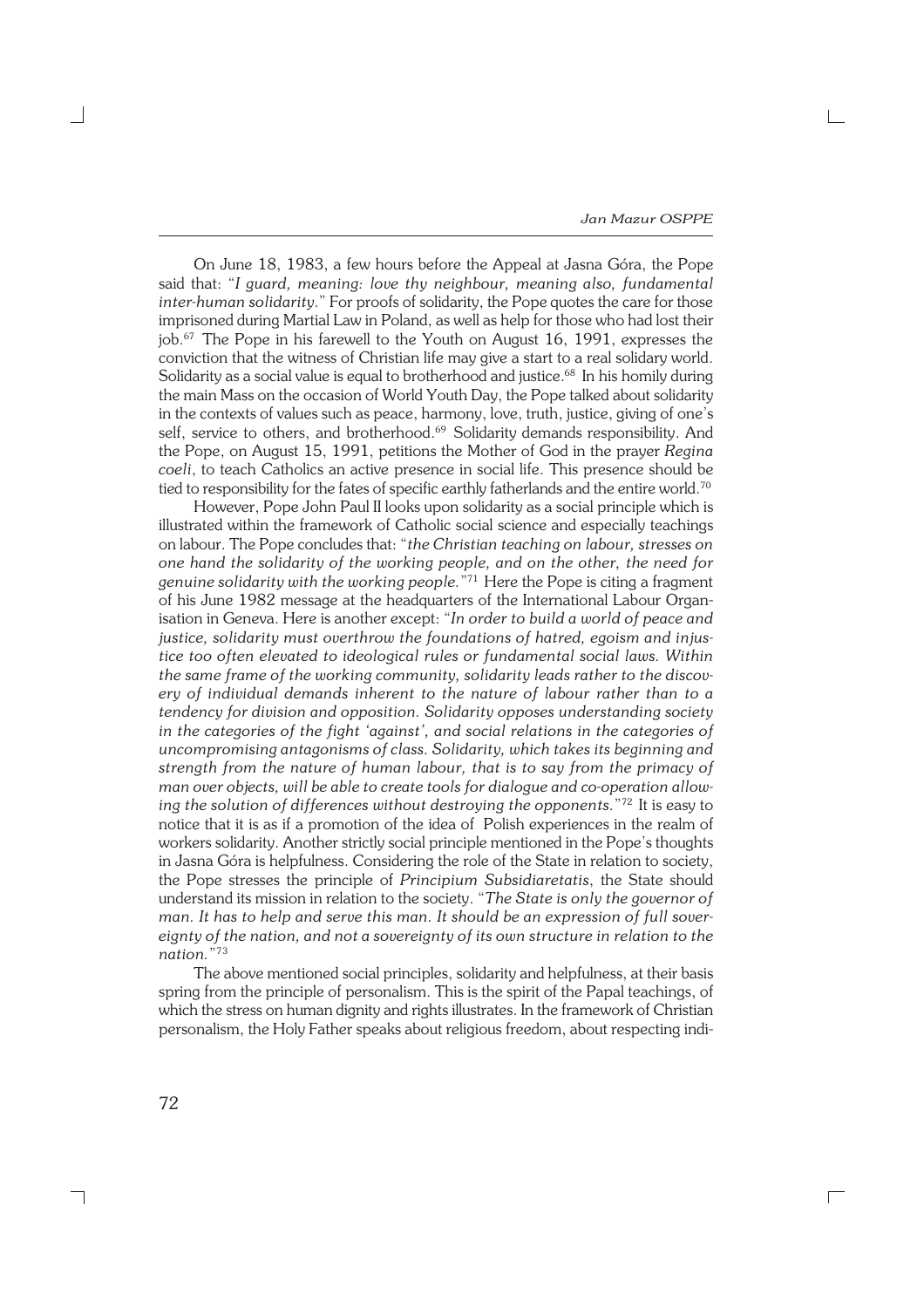On June 18, 1983, a few hours before the Appeal at Jasna Góra, the Pope said that: "*I guard, meaning: love thy neighbour, meaning also, fundamental inter−human solidarity*." For proofs of solidarity, the Pope quotes the care for those imprisoned during Martial Law in Poland, as well as help for those who had lost their job.<sup>67</sup> The Pope in his farewell to the Youth on August 16, 1991, expresses the conviction that the witness of Christian life may give a start to a real solidary world. Solidarity as a social value is equal to brotherhood and justice.<sup>68</sup> In his homily during the main Mass on the occasion of World Youth Day, the Pope talked about solidarity in the contexts of values such as peace, harmony, love, truth, justice, giving of one's self, service to others, and brotherhood.<sup>69</sup> Solidarity demands responsibility. And the Pope, on August 15, 1991, petitions the Mother of God in the prayer *Regina coeli*, to teach Catholics an active presence in social life. This presence should be tied to responsibility for the fates of specific earthly fatherlands and the entire world.<sup>70</sup>

However, Pope John Paul II looks upon solidarity as a social principle which is illustrated within the framework of Catholic social science and especially teachings on labour. The Pope concludes that: "*the Christian teaching on labour, stresses on one hand the solidarity of the working people, and on the other, the need for genuine solidarity with the working people.*" <sup>71</sup> Here the Pope is citing a fragment of his June 1982 message at the headquarters of the International Labour Organ− isation in Geneva. Here is another except: "*In order to build a world of peace and justice, solidarity must overthrow the foundations of hatred, egoism and injus− tice too often elevated to ideological rules or fundamental social laws. Within the same frame of the working community, solidarity leads rather to the discov− ery of individual demands inherent to the nature of labour rather than to a tendency for division and opposition. Solidarity opposes understanding society in the categories of the fight 'against', and social relations in the categories of uncompromising antagonisms of class. Solidarity, which takes its beginning and strength from the nature of human labour, that is to say from the primacy of man over objects, will be able to create tools for dialogue and co−operation allow− ing the solution of differences without destroying the opponents.*" <sup>72</sup> It is easy to notice that it is as if a promotion of the idea of Polish experiences in the realm of workers solidarity. Another strictly social principle mentioned in the Pope's thoughts in Jasna Góra is helpfulness. Considering the role of the State in relation to society, the Pope stresses the principle of *Principium Subsidiaretatis*, the State should understand its mission in relation to the society. "*The State is only the governor of man. It has to help and serve this man. It should be an expression of full sover− eignty of the nation, and not a sovereignty of its own structure in relation to the nation.*" 73

The above mentioned social principles, solidarity and helpfulness, at their basis spring from the principle of personalism. This is the spirit of the Papal teachings, of which the stress on human dignity and rights illustrates. In the framework of Christian personalism, the Holy Father speaks about religious freedom, about respecting indi−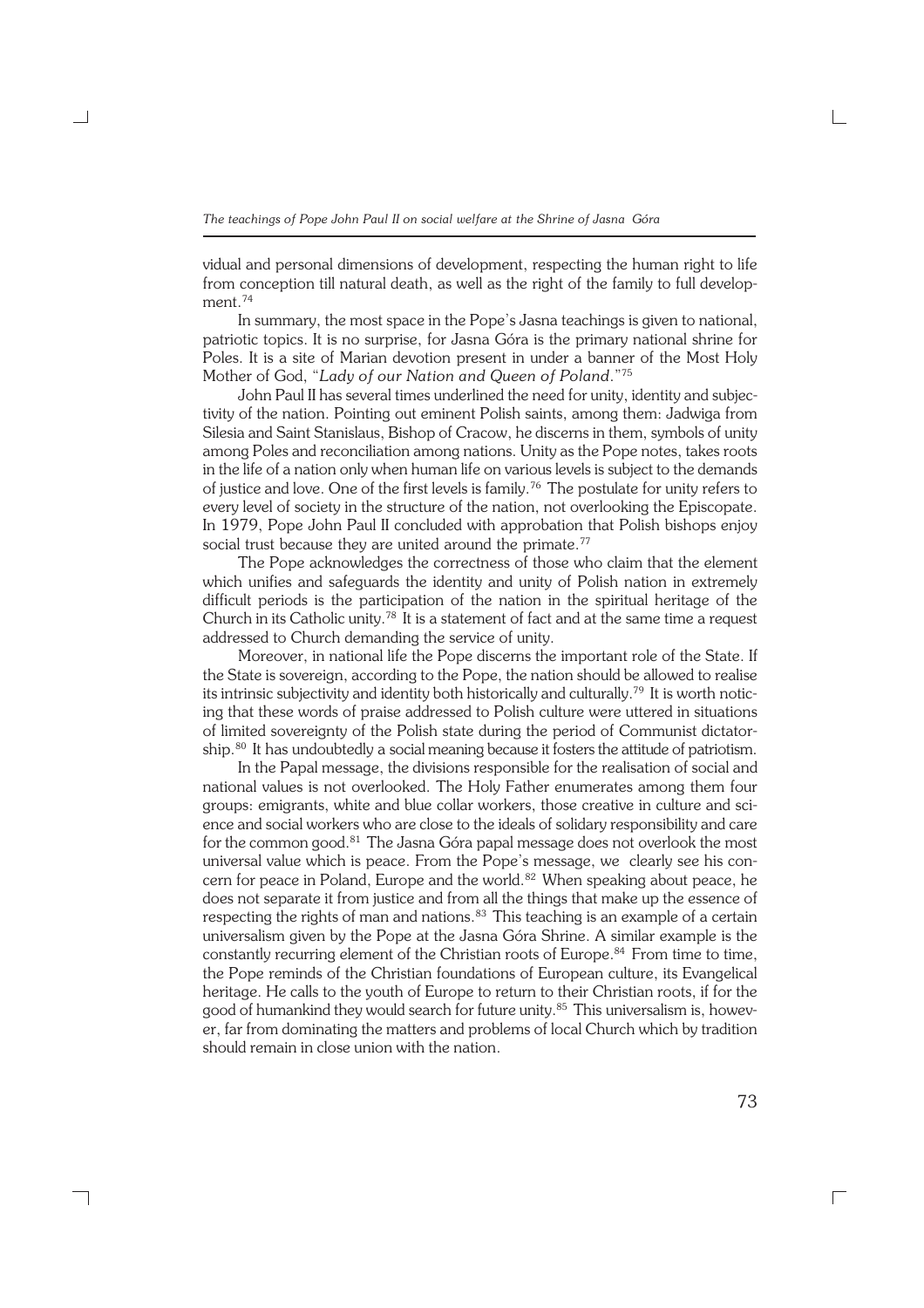vidual and personal dimensions of development, respecting the human right to life from conception till natural death, as well as the right of the family to full development.<sup>74</sup>

In summary, the most space in the Pope's Jasna teachings is given to national, patriotic topics. It is no surprise, for Jasna Góra is the primary national shrine for Poles. It is a site of Marian devotion present in under a banner of the Most Holy Mother of God, "*Lady of our Nation and Queen of Poland*."<sup>75</sup>

John Paul II has several times underlined the need for unity, identity and subjec− tivity of the nation. Pointing out eminent Polish saints, among them: Jadwiga from Silesia and Saint Stanislaus, Bishop of Cracow, he discerns in them, symbols of unity among Poles and reconciliation among nations. Unity as the Pope notes, takes roots in the life of a nation only when human life on various levels is subject to the demands of justice and love. One of the first levels is family.<sup>76</sup> The postulate for unity refers to every level of society in the structure of the nation, not overlooking the Episcopate. In 1979, Pope John Paul II concluded with approbation that Polish bishops enjoy social trust because they are united around the primate.<sup>77</sup>

The Pope acknowledges the correctness of those who claim that the element which unifies and safeguards the identity and unity of Polish nation in extremely difficult periods is the participation of the nation in the spiritual heritage of the Church in its Catholic unity.<sup>78</sup> It is a statement of fact and at the same time a request addressed to Church demanding the service of unity.

Moreover, in national life the Pope discerns the important role of the State. If the State is sovereign, according to the Pope, the nation should be allowed to realise its intrinsic subjectivity and identity both historically and culturally.<sup>79</sup> It is worth notic− ing that these words of praise addressed to Polish culture were uttered in situations of limited sovereignty of the Polish state during the period of Communist dictator− ship.<sup>80</sup> It has undoubtedly a social meaning because it fosters the attitude of patriotism.

In the Papal message, the divisions responsible for the realisation of social and national values is not overlooked. The Holy Father enumerates among them four groups: emigrants, white and blue collar workers, those creative in culture and sci− ence and social workers who are close to the ideals of solidary responsibility and care for the common good.<sup>81</sup> The Jasna Góra papal message does not overlook the most universal value which is peace. From the Pope's message, we clearly see his con− cern for peace in Poland, Europe and the world. $82$  When speaking about peace, he does not separate it from justice and from all the things that make up the essence of respecting the rights of man and nations.<sup>83</sup> This teaching is an example of a certain universalism given by the Pope at the Jasna Góra Shrine. A similar example is the constantly recurring element of the Christian roots of Europe.<sup>84</sup> From time to time, the Pope reminds of the Christian foundations of European culture, its Evangelical heritage. He calls to the youth of Europe to return to their Christian roots, if for the good of humankind they would search for future unity.<sup>85</sup> This universalism is, however, far from dominating the matters and problems of local Church which by tradition should remain in close union with the nation.

┑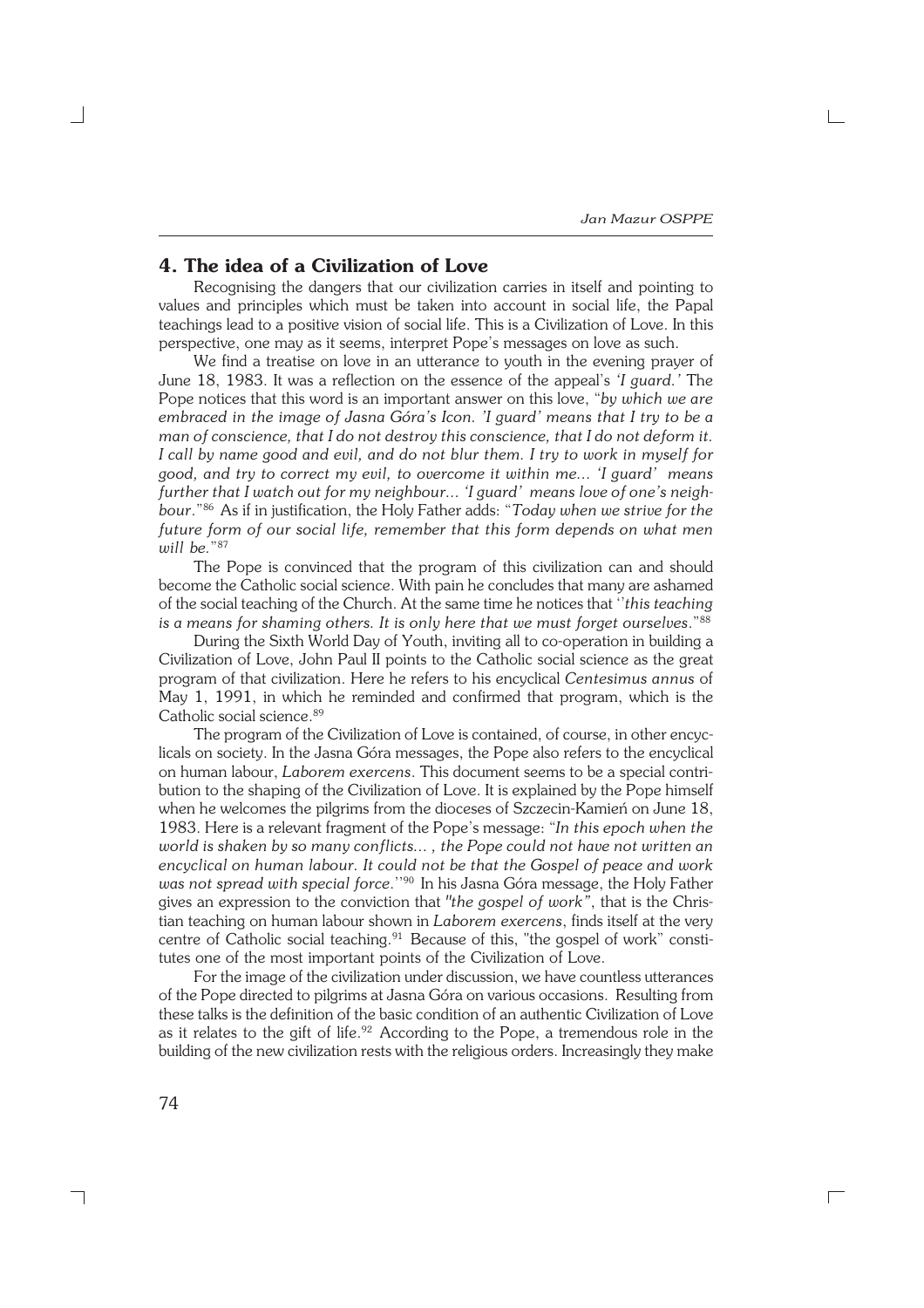### **4. The idea of a Civilization of Love**

Recognising the dangers that our civilization carries in itself and pointing to values and principles which must be taken into account in social life, the Papal teachings lead to a positive vision of social life. This is a Civilization of Love. In this perspective, one may as it seems, interpret Pope's messages on love as such.

We find a treatise on love in an utterance to youth in the evening prayer of June 18, 1983. It was a reflection on the essence of the appeal's *'I guard.'* The Pope notices that this word is an important answer on this love, "*by which we are embraced in the image of Jasna Góra's Icon. 'I guard' means that I try to be a man of conscience, that I do not destroy this conscience, that I do not deform it. I call by name good and evil, and do not blur them. I try to work in myself for good, and try to correct my evil, to overcome it within me... 'I guard' means further that I watch out for my neighbour... 'I guard' means love of one's neigh− bour*."<sup>86</sup> As if in justification, the Holy Father adds: "*Today when we strive for the future form of our social life, remember that this form depends on what men will be.*" 87

The Pope is convinced that the program of this civilization can and should become the Catholic social science. With pain he concludes that many are ashamed of the social teaching of the Church. At the same time he notices that ''*this teaching is a means for shaming others. It is only here that we must forget ourselves*."<sup>88</sup>

During the Sixth World Day of Youth, inviting all to co−operation in building a Civilization of Love, John Paul II points to the Catholic social science as the great program of that civilization. Here he refers to his encyclical *Centesimus annus* of May 1, 1991, in which he reminded and confirmed that program, which is the Catholic social science.<sup>89</sup>

The program of the Civilization of Love is contained, of course, in other encyc− licals on society. In the Jasna Góra messages, the Pope also refers to the encyclical on human labour, *Laborem exercens*. This document seems to be a special contri− bution to the shaping of the Civilization of Love. It is explained by the Pope himself when he welcomes the pilgrims from the dioceses of Szczecin−Kamień on June 18, 1983. Here is a relevant fragment of the Pope's message: "*In this epoch when the world is shaken by so many conflicts... , the Pope could not have not written an encyclical on human labour. It could not be that the Gospel of peace and work was not spread with special force*.''<sup>90</sup> In his Jasna Góra message, the Holy Father gives an expression to the conviction that *"the gospel of work"*, that is the Chris− tian teaching on human labour shown in *Laborem exercens*, finds itself at the very centre of Catholic social teaching.<sup>91</sup> Because of this, "the gospel of work" constitutes one of the most important points of the Civilization of Love.

For the image of the civilization under discussion, we have countless utterances of the Pope directed to pilgrims at Jasna Góra on various occasions. Resulting from these talks is the definition of the basic condition of an authentic Civilization of Love as it relates to the gift of life.<sup>92</sup> According to the Pope, a tremendous role in the building of the new civilization rests with the religious orders. Increasingly they make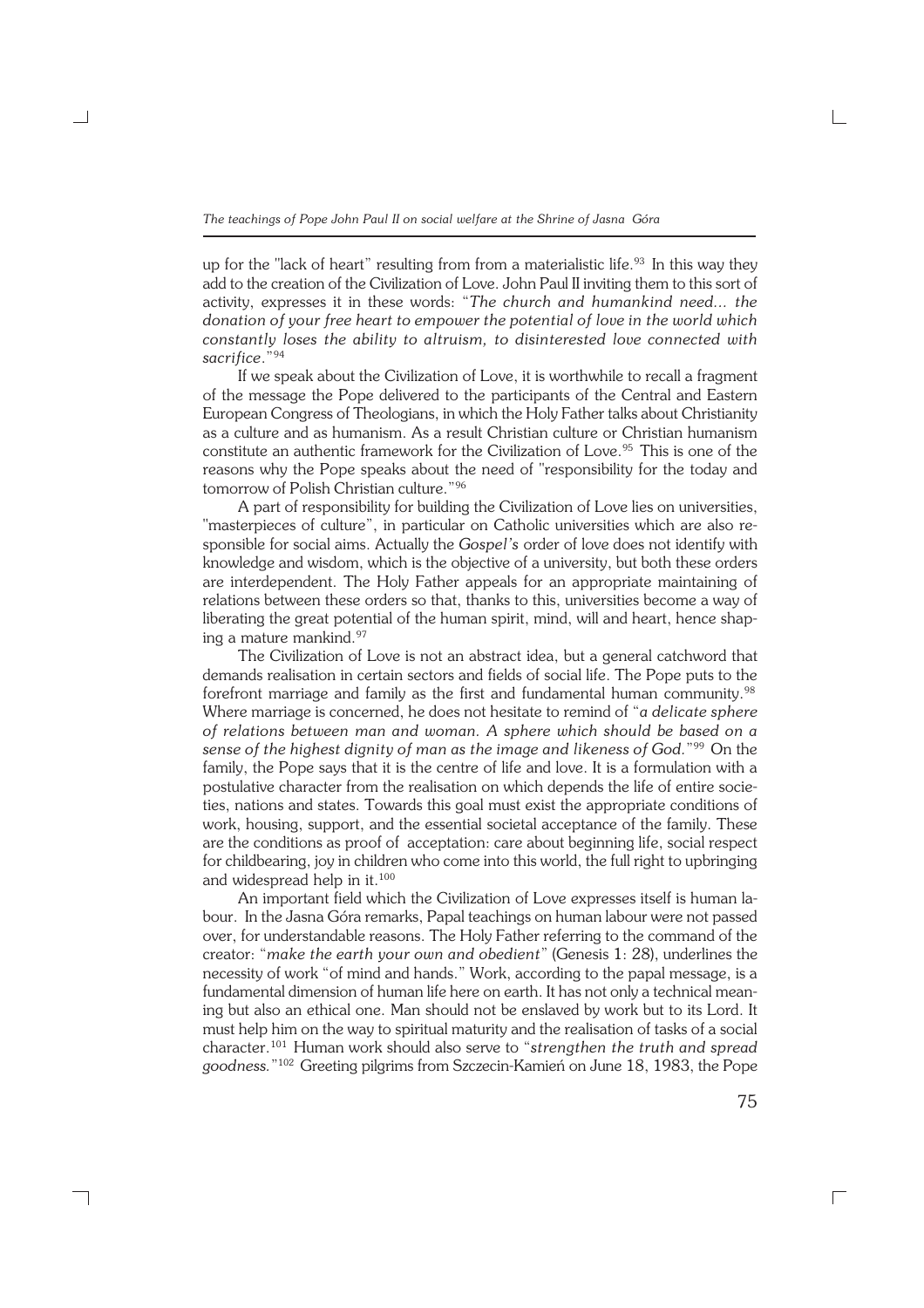up for the "lack of heart" resulting from from a materialistic life.<sup>93</sup> In this way they add to the creation of the Civilization of Love. John Paul II inviting them to this sort of activity, expresses it in these words: "*The church and humankind need... the donation of your free heart to empower the potential of love in the world which constantly loses the ability to altruism, to disinterested love connected with sacrifice*."<sup>94</sup>

If we speak about the Civilization of Love, it is worthwhile to recall a fragment of the message the Pope delivered to the participants of the Central and Eastern European Congress of Theologians, in which the Holy Father talks about Christianity as a culture and as humanism. As a result Christian culture or Christian humanism constitute an authentic framework for the Civilization of Love.<sup>95</sup> This is one of the reasons why the Pope speaks about the need of "responsibility for the today and tomorrow of Polish Christian culture."<sup>96</sup>

A part of responsibility for building the Civilization of Love lies on universities, "masterpieces of culture", in particular on Catholic universities which are also re− sponsible for social aims. Actually the *Gospel's* order of love does not identify with knowledge and wisdom, which is the objective of a university, but both these orders are interdependent. The Holy Father appeals for an appropriate maintaining of relations between these orders so that, thanks to this, universities become a way of liberating the great potential of the human spirit, mind, will and heart, hence shap− ing a mature mankind.<sup>97</sup>

The Civilization of Love is not an abstract idea, but a general catchword that demands realisation in certain sectors and fields of social life. The Pope puts to the forefront marriage and family as the first and fundamental human community.<sup>98</sup> Where marriage is concerned, he does not hesitate to remind of "*a delicate sphere of relations between man and woman. A sphere which should be based on a sense of the highest dignity of man as the image and likeness of God.*" <sup>99</sup> On the family, the Pope says that it is the centre of life and love. It is a formulation with a postulative character from the realisation on which depends the life of entire socie− ties, nations and states. Towards this goal must exist the appropriate conditions of work, housing, support, and the essential societal acceptance of the family. These are the conditions as proof of acceptation: care about beginning life, social respect for childbearing, joy in children who come into this world, the full right to upbringing and widespread help in it.<sup>100</sup>

An important field which the Civilization of Love expresses itself is human la− bour. In the Jasna Góra remarks, Papal teachings on human labour were not passed over, for understandable reasons. The Holy Father referring to the command of the creator: "*make the earth your own and obedient*" (Genesis 1: 28), underlines the necessity of work "of mind and hands." Work, according to the papal message, is a fundamental dimension of human life here on earth. It has not only a technical mean− ing but also an ethical one. Man should not be enslaved by work but to its Lord. It must help him on the way to spiritual maturity and the realisation of tasks of a social character.<sup>101</sup> Human work should also serve to "*strengthen the truth and spread goodness.*" 102 Greeting pilgrims from Szczecin−Kamień on June 18, 1983, the Pope

┐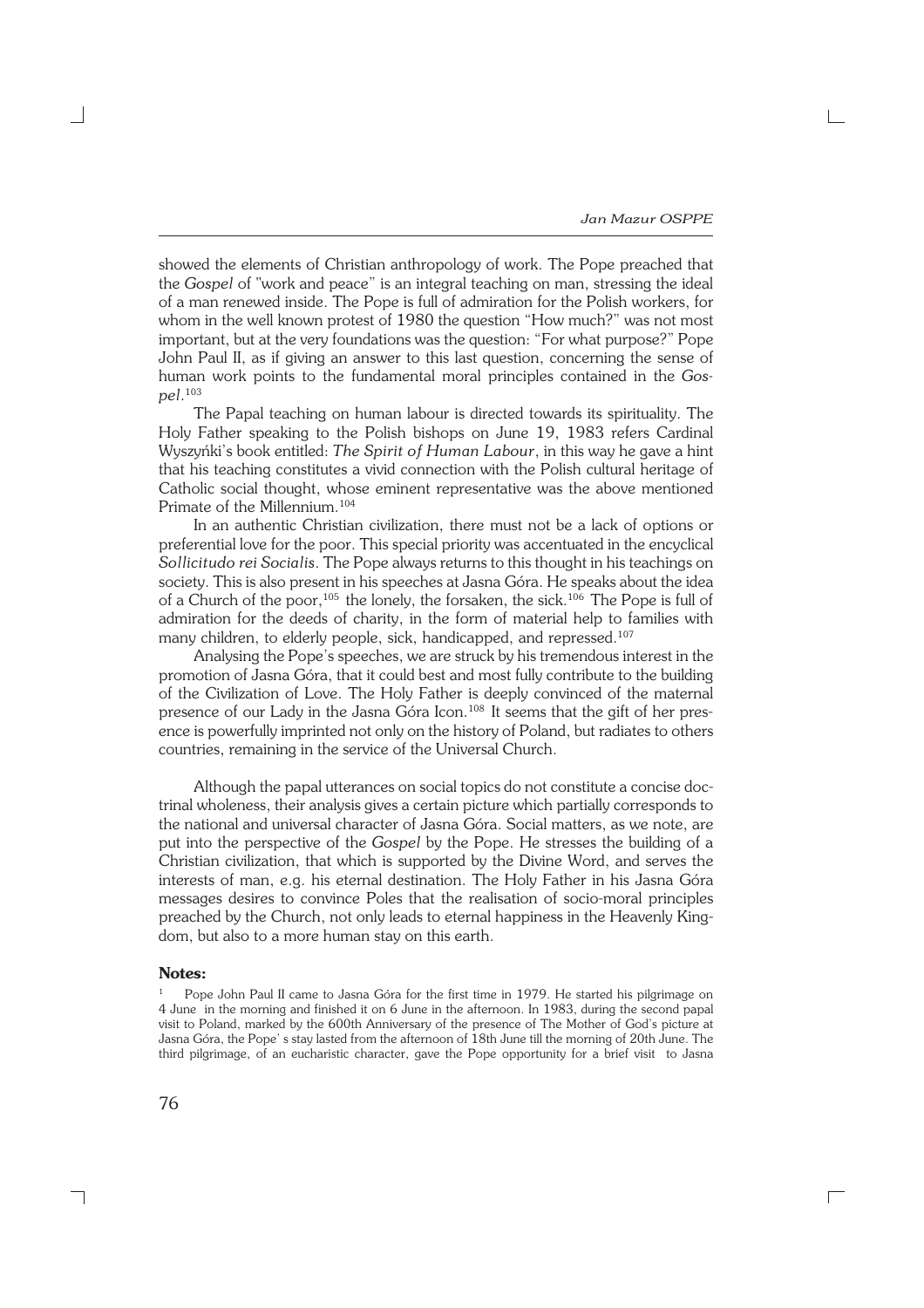showed the elements of Christian anthropology of work. The Pope preached that the *Gospel* of "work and peace" is an integral teaching on man, stressing the ideal of a man renewed inside. The Pope is full of admiration for the Polish workers, for whom in the well known protest of 1980 the question "How much?" was not most important, but at the very foundations was the question: "For what purpose?" Pope John Paul II, as if giving an answer to this last question, concerning the sense of human work points to the fundamental moral principles contained in the *Gos− pel*. 103

The Papal teaching on human labour is directed towards its spirituality. The Holy Father speaking to the Polish bishops on June 19, 1983 refers Cardinal Wyszyńki's book entitled: *The Spirit of Human Labour*, in this way he gave a hint that his teaching constitutes a vivid connection with the Polish cultural heritage of Catholic social thought, whose eminent representative was the above mentioned Primate of the Millennium.<sup>104</sup>

In an authentic Christian civilization, there must not be a lack of options or preferential love for the poor. This special priority was accentuated in the encyclical *Sollicitudo rei Socialis*. The Pope always returns to this thought in his teachings on society. This is also present in his speeches at Jasna Góra. He speaks about the idea of a Church of the poor,<sup>105</sup> the lonely, the forsaken, the sick.<sup>106</sup> The Pope is full of admiration for the deeds of charity, in the form of material help to families with many children, to elderly people, sick, handicapped, and repressed.<sup>107</sup>

Analysing the Pope's speeches, we are struck by his tremendous interest in the promotion of Jasna Góra, that it could best and most fully contribute to the building of the Civilization of Love. The Holy Father is deeply convinced of the maternal presence of our Lady in the Jasna Góra Icon.<sup>108</sup> It seems that the gift of her pres− ence is powerfully imprinted not only on the history of Poland, but radiates to others countries, remaining in the service of the Universal Church.

Although the papal utterances on social topics do not constitute a concise doc− trinal wholeness, their analysis gives a certain picture which partially corresponds to the national and universal character of Jasna Góra. Social matters, as we note, are put into the perspective of the *Gospel* by the Pope. He stresses the building of a Christian civilization, that which is supported by the Divine Word, and serves the interests of man, e.g. his eternal destination. The Holy Father in his Jasna Góra messages desires to convince Poles that the realisation of socio−moral principles preached by the Church, not only leads to eternal happiness in the Heavenly King− dom, but also to a more human stay on this earth.

#### **Notes:**

Pope John Paul II came to Jasna Góra for the first time in 1979. He started his pilgrimage on 4 June in the morning and finished it on 6 June in the afternoon. In 1983, during the second papal visit to Poland, marked by the 600th Anniversary of the presence of The Mother of God's picture at Jasna Góra, the Pope' s stay lasted from the afternoon of 18th June till the morning of 20th June. The third pilgrimage, of an eucharistic character, gave the Pope opportunity for a brief visit to Jasna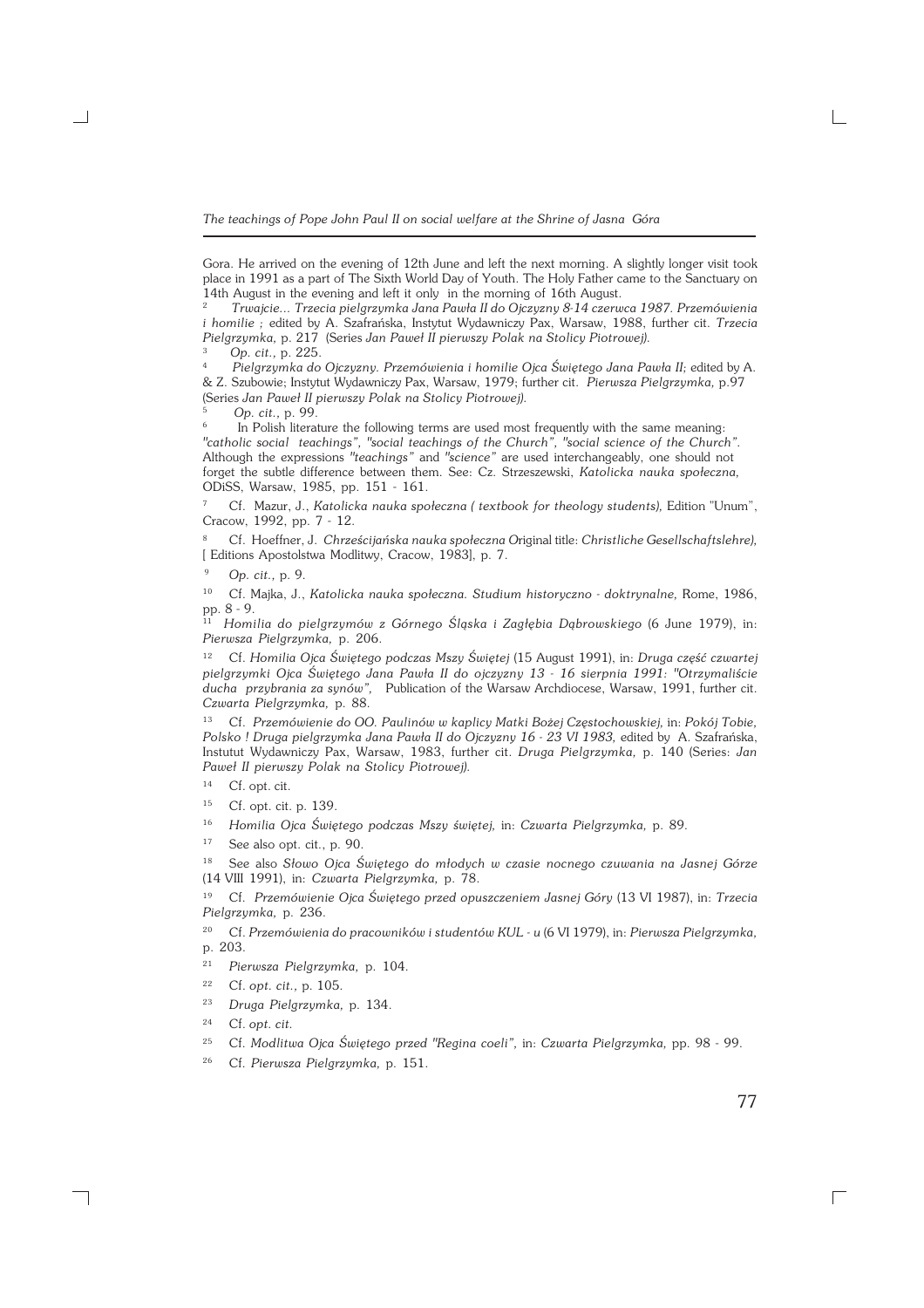Gora. He arrived on the evening of 12th June and left the next morning. A slightly longer visit took place in 1991 as a part of The Sixth World Day of Youth. The Holy Father came to the Sanctuary on 14th August in the evening and left it only in the morning of 16th August.

<sup>2</sup>*Trwajcie... Trzecia pielgrzymka Jana Pawła II do Ojczyzny 8−14 czerwca 1987. Przemówienia i homilie ;* edited by A. Szafrańska, Instytut Wydawniczy Pax, Warsaw, 1988, further cit. *Trzecia Pielgrzymka,* p. 217 (Series *Jan Paweł II pierwszy Polak na Stolicy Piotrowej).* 3

 *Op. cit.,* p. 225.

<sup>4</sup>*Pielgrzymka do Ojczyzny. Przemówienia i homilie Ojca Świętego Jana Pawła II;* edited by A. & Z. Szubowie; Instytut Wydawniczy Pax, Warsaw, 1979; further cit. *Pierwsza Pielgrzymka,* p.97 (Series *Jan Paweł II pierwszy Polak na Stolicy Piotrowej).*

5  *Op. cit.,* p. 99.

6 In Polish literature the following terms are used most frequently with the same meaning: *"catholic social teachings", "social teachings of the Church", "social science of the Church".* Although the expressions *"teachings"* and *"science"* are used interchangeably, one should not forget the subtle difference between them. See: Cz. Strzeszewski, *Katolicka nauka społeczna,* ODiSS, Warsaw, 1985, pp. 151 − 161.

<sup>7</sup> Cf. Mazur, J., *Katolicka nauka społeczna ( textbook for theology students),* Edition "Unum", Cracow, 1992, pp. 7 − 12.

<sup>8</sup> Cf. Hoeffner, J. *Chrześcijańska nauka społeczna O*riginal title: *Christliche Gesellschaftslehre),* [ Editions Apostolstwa Modlitwy, Cracow, 1983], p. 7.

<sup>9</sup> *Op. cit.,* p. 9.

<sup>10</sup> Cf. Majka, J., *Katolicka nauka społeczna. Studium historyczno − doktrynalne,* Rome, 1986, pp. 8 − 9.

<sup>11</sup> *Homilia do pielgrzymów z Górnego Śląska i Zagłębia Dąbrowskiego* (6 June 1979), in: *Pierwsza Pielgrzymka,* p. 206.

<sup>12</sup> Cf. *Homilia Ojca Świętego podczas Mszy Świętej* (15 August 1991), in: *Druga część czwartej pielgrzymki Ojca Świętego Jana Pawła II do ojczyzny 13 − 16 sierpnia 1991: "Otrzymaliście ducha przybrania za synów",* Publication of the Warsaw Archdiocese, Warsaw, 1991, further cit. *Czwarta Pielgrzymka,* p. 88.

<sup>13</sup> Cf. *Przemówienie do OO. Paulinów w kaplicy Matki Bożej Częstochowskiej,* in: *Pokój Tobie, Polsko ! Druga pielgrzymka Jana Pawła II do Ojczyzny 16 − 23 VI 1983,* edited by A. Szafrańska, Instutut Wydawniczy Pax, Warsaw, 1983, further cit. *Druga Pielgrzymka,* p. 140 (Series: *Jan Paweł II pierwszy Polak na Stolicy Piotrowej).*

<sup>14</sup> Cf. opt. cit.

<sup>15</sup> Cf. opt. cit. p. 139.

<sup>16</sup> *Homilia Ojca Świętego podczas Mszy świętej,* in: *Czwarta Pielgrzymka,* p. 89.

 $17$  See also opt. cit., p. 90.

<sup>18</sup> See also *Słowo Ojca Świętego do młodych w czasie nocnego czuwania na Jasnej Górze* (14VIII 1991), in: *Czwarta Pielgrzymka,* p. 78.

<sup>19</sup> Cf. *Przemówienie Ojca Świętego przed opuszczeniem Jasnej Góry* (13 VI 1987), in: *Trzecia Pielgrzymka,* p. 236.

<sup>20</sup> Cf. *Przemówienia do pracowników i studentów KUL − u* (6 VI 1979), in: *Pierwsza Pielgrzymka,* p. 203.

<sup>21</sup> *Pierwsza Pielgrzymka,* p. 104.

<sup>22</sup> Cf. *opt. cit.,* p. 105.

<sup>23</sup> *Druga Pielgrzymka,* p. 134.

<sup>24</sup> Cf. *opt. cit.*

┑

<sup>25</sup> Cf. *Modlitwa Ojca Świętego przed "Regina coeli",* in: *Czwarta Pielgrzymka,* pp. 98 − 99.

<sup>26</sup> Cf. *Pierwsza Pielgrzymka,* p. 151.

77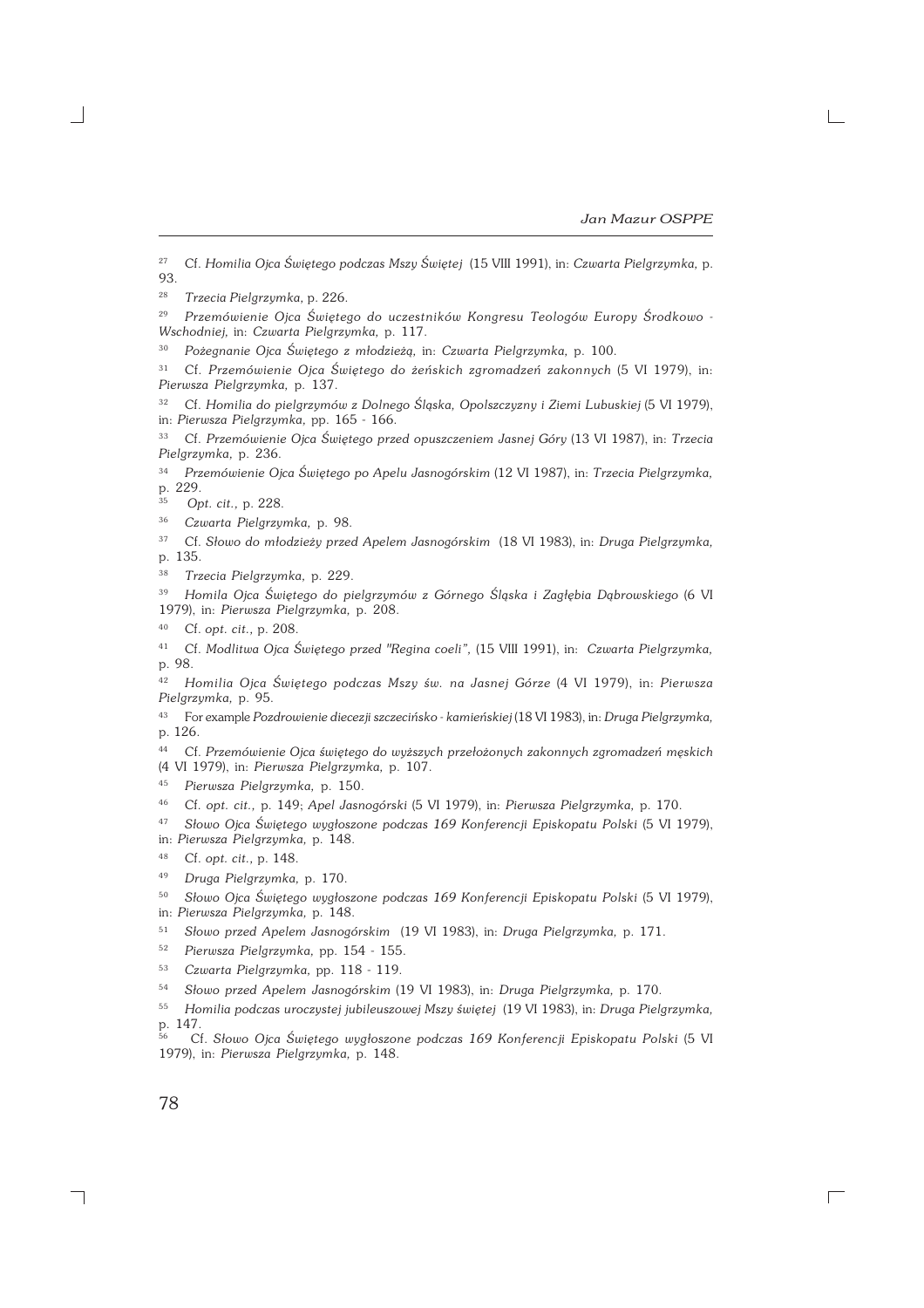<sup>29</sup> *Przemówienie Ojca Świętego do uczestników Kongresu Teologów Europy Środkowo − Wschodniej,* in: *Czwarta Pielgrzymka,* p. 117.

<sup>30</sup> *Pożegnanie Ojca Świętego z młodzieżą,* in: *Czwarta Pielgrzymka,* p. 100.

<sup>31</sup> Cf. *Przemówienie Ojca Świętego do żeńskich zgromadzeń zakonnych* (5 VI 1979), in: *Pierwsza Pielgrzymka,* p. 137.

<sup>32</sup> Cf. *Homilia do pielgrzymów z Dolnego Śląska, Opolszczyzny i Ziemi Lubuskiej (5 VI 1979)*, in: *Pierwsza Pielgrzymka,* pp. 165 − 166.

<sup>33</sup> Cf. *Przemówienie Ojca Świętego przed opuszczeniem Jasnej Góry* (13 VI 1987), in: *Trzecia Pielgrzymka,* p. 236.

<sup>34</sup> *Przemówienie Ojca Świętego po Apelu Jasnogórskim* (12 VI 1987), in: *Trzecia Pielgrzymka,* p. 229.

<sup>35</sup> *Opt. cit.,* p. 228.

<sup>36</sup> *Czwarta Pielgrzymka,* p. 98.

<sup>37</sup> Cf. *Słowo do młodzieży przed Apelem Jasnogórskim* (18 VI 1983), in: *Druga Pielgrzymka,* p. 135.

<sup>38</sup> *Trzecia Pielgrzymka,* p. 229.

<sup>39</sup> *Homila Ojca Świętego do pielgrzymów z Górnego Śląska i Zagłębia Dąbrowskiego* (6 VI 1979), in: *Pierwsza Pielgrzymka,* p. 208.

<sup>40</sup> Cf. *opt. cit.,* p. 208.

<sup>41</sup> Cf. *Modlitwa Ojca Świętego przed "Regina coeli",* (15 VIII 1991), in: *Czwarta Pielgrzymka,* p. 98.

<sup>42</sup> *Homilia Ojca Świętego podczas Mszy św. na Jasnej Górze* (4 VI 1979), in: *Pierwsza Pielgrzymka,* p. 95.

<sup>43</sup> For example *Pozdrowienie diecezji szczecińsko − kamieńskiej* (18 VI 1983), in: *Druga Pielgrzymka,* p. 126.

<sup>44</sup> Cf. *Przemówienie Ojca świętego do wyższych przełożonych zakonnych zgromadzeń męskich* (4 VI 1979), in: *Pierwsza Pielgrzymka,* p. 107.

<sup>45</sup> *Pierwsza Pielgrzymka,* p. 150.

<sup>46</sup> Cf. *opt. cit.,* p. 149; *Apel Jasnogórski* (5 VI 1979), in: *Pierwsza Pielgrzymka,* p. 170.

<sup>47</sup> *Słowo Ojca Świętego wygłoszone podczas 169 Konferencji Episkopatu Polski* (5 VI 1979), in: *Pierwsza Pielgrzymka,* p. 148.

<sup>48</sup> Cf. *opt. cit.,* p. 148.

<sup>50</sup> *Słowo Ojca Świętego wygłoszone podczas 169 Konferencji Episkopatu Polski* (5 VI 1979), in: *Pierwsza Pielgrzymka,* p. 148.

<sup>51</sup> *Słowo przed Apelem Jasnogórskim* (19 VI 1983), in: *Druga Pielgrzymka,* p. 171.

<sup>52</sup> *Pierwsza Pielgrzymka,* pp. 154 − 155.

<sup>53</sup> *Czwarta Pielgrzymka,* pp. 118 − 119.

<sup>54</sup> *Słowo przed Apelem Jasnogórskim* (19 VI 1983), in: *Druga Pielgrzymka,* p. 170.

<sup>55</sup> *Homilia podczas uroczystej jubileuszowej Mszy świętej* (19 VI 1983), in: *Druga Pielgrzymka,* p. 147.

<sup>56</sup> Cf. *Słowo Ojca Świętego wygłoszone podczas 169 Konferencji Episkopatu Polski* (5 VI 1979), in: *Pierwsza Pielgrzymka,* p. 148.

<sup>27</sup> Cf. *Homilia Ojca Świętego podczas Mszy Świętej* (15 VIII 1991), in: *Czwarta Pielgrzymka,* p. 93.

<sup>28</sup> *Trzecia Pielgrzymka,* p. 226.

<sup>49</sup> *Druga Pielgrzymka,* p. 170.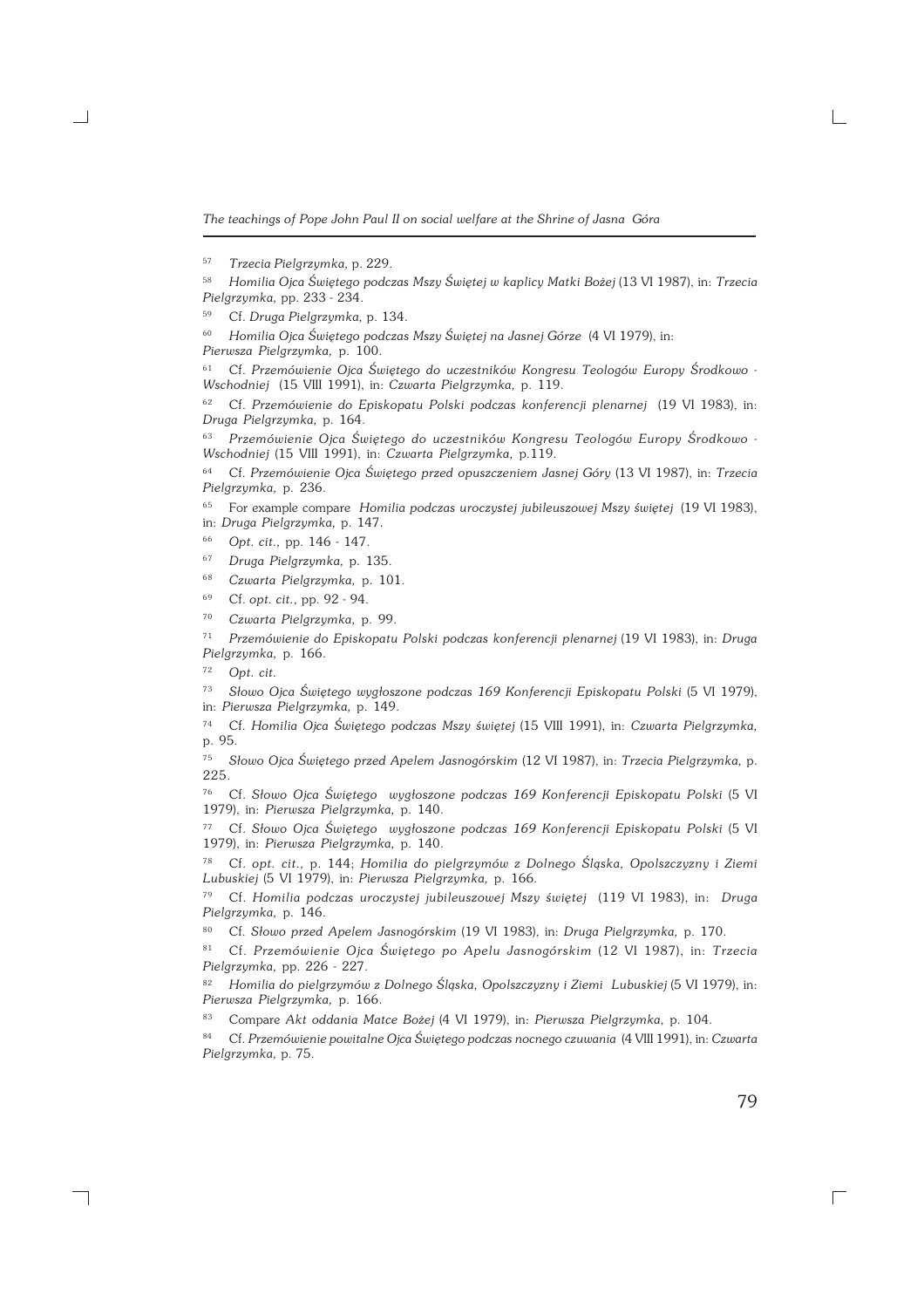<sup>60</sup> *Homilia Ojca Świętego podczas Mszy Świętej na Jasnej Górze* (4 VI 1979), in:

*Pierwsza Pielgrzymka,* p. 100.

<sup>61</sup> Cf. *Przemówienie Ojca Świętego do uczestników Kongresu Teologów Europy Środkowo − Wschodniej* (15 VIII 1991), in: *Czwarta Pielgrzymka,* p. 119.

<sup>62</sup> Cf. *Przemówienie do Episkopatu Polski podczas konferencji plenarnej* (19 VI 1983), in: *Druga Pielgrzymka,* p. 164.

<sup>63</sup> *Przemówienie Ojca Świętego do uczestników Kongresu Teologów Europy Środkowo − Wschodniej* (15 VIII 1991), in: *Czwarta Pielgrzymka,* p.119.

<sup>64</sup> Cf. *Przemówienie Ojca Świętego przed opuszczeniem Jasnej Góry* (13 VI 1987), in: *Trzecia Pielgrzymka,* p. 236.

<sup>65</sup> For example compare *Homilia podczas uroczystej jubileuszowej Mszy świętej* (19 VI 1983), in: *Druga Pielgrzymka,* p. 147.

<sup>66</sup> *Opt. cit.,* pp. 146 − 147.

<sup>67</sup> *Druga Pielgrzymka,* p. 135.

- <sup>68</sup> *Czwarta Pielgrzymka,* p. 101.
- <sup>69</sup> Cf. *opt. cit.,* pp. 92 − 94.
- <sup>70</sup> *Czwarta Pielgrzymka,* p. 99.

<sup>71</sup> *Przemówienie do Episkopatu Polski podczas konferencji plenarnej* (19 VI 1983), in: *Druga Pielgrzymka,* p. 166.

<sup>72</sup> *Opt. cit.*

┑

<sup>73</sup> *Słowo Ojca Świętego wygłoszone podczas 169 Konferencji Episkopatu Polski* (5 VI 1979), in: *Pierwsza Pielgrzymka,* p. 149.

<sup>74</sup> Cf. *Homilia Ojca Świętego podczas Mszy świętej* (15 VIII 1991), in: *Czwarta Pielgrzymka,* p. 95.

<sup>75</sup> *Słowo Ojca Świętego przed Apelem Jasnogórskim* (12 VI 1987), in: *Trzecia Pielgrzymka,* p. 225.

<sup>76</sup> Cf. *Słowo Ojca Świętego wygłoszone podczas 169 Konferencji Episkopatu Polski* (5 VI 1979), in: *Pierwsza Pielgrzymka,* p. 140.

<sup>77</sup> Cf. *Słowo Ojca Świętego wygłoszone podczas 169 Konferencji Episkopatu Polski* (5 VI 1979), in: *Pierwsza Pielgrzymka,* p. 140.

<sup>78</sup> Cf. *opt. cit.,* p. 144; *Homilia do pielgrzymów z Dolnego Śląska, Opolszczyzny i Ziemi Lubuskiej* (5 VI 1979), in: *Pierwsza Pielgrzymka,* p. 166.

<sup>79</sup> Cf. *Homilia podczas uroczystej jubileuszowej Mszy świętej* (119 VI 1983), in: *Druga Pielgrzymka,* p. 146.

<sup>80</sup> Cf. *Słowo przed Apelem Jasnogórskim* (19 VI 1983), in: *Druga Pielgrzymka,* p. 170.

<sup>81</sup> Cf. *Przemówienie Ojca Świętego po Apelu Jasnogórskim* (12 VI 1987), in: *Trzecia Pielgrzymka,* pp. 226 − 227.

<sup>82</sup> *Homilia do pielgrzymów z Dolnego Śląska, Opolszczyzny i Ziemi Lubuskiej* (5 VI 1979), in: *Pierwsza Pielgrzymka,* p. 166.

<sup>83</sup> Compare *Akt oddania Matce Bożej* (4 VI 1979), in: *Pierwsza Pielgrzymka,* p. 104.

<sup>84</sup> Cf. *Przemówienie powitalne Ojca Świętego podczas nocnego czuwania* (4 VIII 1991), in: *Czwarta Pielgrzymka,* p. 75.

79

<sup>57</sup> *Trzecia Pielgrzymka,* p. 229.

<sup>58</sup> *Homilia Ojca Świętego podczas Mszy Świętej w kaplicy Matki Bożej* (13 VI 1987), in: *Trzecia Pielgrzymka,* pp. 233 − 234.

<sup>59</sup> Cf. *Druga Pielgrzymka,* p. 134.